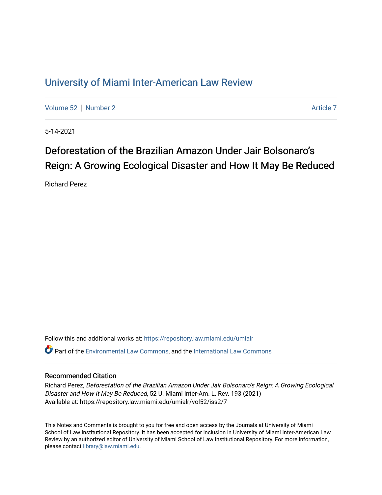# [University of Miami Inter-American Law Review](https://repository.law.miami.edu/umialr)

[Volume 52](https://repository.law.miami.edu/umialr/vol52) [Number 2](https://repository.law.miami.edu/umialr/vol52/iss2) [Article 7](https://repository.law.miami.edu/umialr/vol52/iss2/7) Article 7 Article 7

5-14-2021

# Deforestation of the Brazilian Amazon Under Jair Bolsonaro's Reign: A Growing Ecological Disaster and How It May Be Reduced

Richard Perez

Follow this and additional works at: [https://repository.law.miami.edu/umialr](https://repository.law.miami.edu/umialr?utm_source=repository.law.miami.edu%2Fumialr%2Fvol52%2Fiss2%2F7&utm_medium=PDF&utm_campaign=PDFCoverPages) Part of the [Environmental Law Commons](http://network.bepress.com/hgg/discipline/599?utm_source=repository.law.miami.edu%2Fumialr%2Fvol52%2Fiss2%2F7&utm_medium=PDF&utm_campaign=PDFCoverPages), and the International Law Commons

# Recommended Citation

Richard Perez, Deforestation of the Brazilian Amazon Under Jair Bolsonaro's Reign: A Growing Ecological Disaster and How It May Be Reduced, 52 U. Miami Inter-Am. L. Rev. 193 (2021) Available at: https://repository.law.miami.edu/umialr/vol52/iss2/7

This Notes and Comments is brought to you for free and open access by the Journals at University of Miami School of Law Institutional Repository. It has been accepted for inclusion in University of Miami Inter-American Law Review by an authorized editor of University of Miami School of Law Institutional Repository. For more information, please contact [library@law.miami.edu.](mailto:library@law.miami.edu)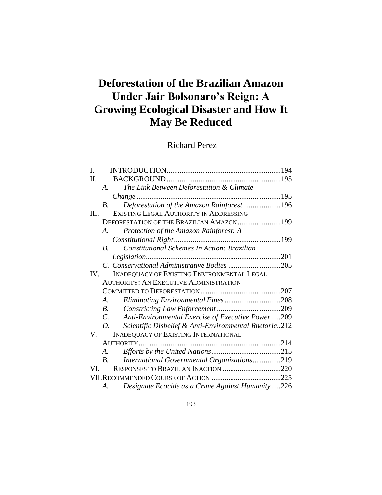# **Deforestation of the Brazilian Amazon Under Jair Bolsonaro's Reign: A Growing Ecological Disaster and How It May Be Reduced**

# Richard Perez

| $\mathbf{I}$ . |                                                                   |  |
|----------------|-------------------------------------------------------------------|--|
| Π.             |                                                                   |  |
|                | The Link Between Deforestation & Climate<br>$A_{\cdot}$           |  |
|                |                                                                   |  |
|                | Deforestation of the Amazon Rainforest196<br>В.                   |  |
| HI.            | EXISTING LEGAL AUTHORITY IN ADDRESSING                            |  |
|                | DEFORESTATION OF THE BRAZILIAN AMAZON199                          |  |
|                | Protection of the Amazon Rainforest: A<br>$\mathcal{A}_{\cdot}$   |  |
|                |                                                                   |  |
|                | Constitutional Schemes In Action: Brazilian<br>$B_{\cdot}$        |  |
|                |                                                                   |  |
|                | C. Conservational Administrative Bodies 205                       |  |
| IV.            | INADEQUACY OF EXISTING ENVIRONMENTAL LEGAL                        |  |
|                | <b>AUTHORITY: AN EXECUTIVE ADMINISTRATION</b>                     |  |
|                |                                                                   |  |
|                | Eliminating Environmental Fines208<br>A.                          |  |
|                | <i>B</i> .                                                        |  |
|                | Anti-Environmental Exercise of Executive Power209<br>$C$ .        |  |
|                | Scientific Disbelief & Anti-Environmental Rhetoric212<br>D.       |  |
| V.             | <b>INADEQUACY OF EXISTING INTERNATIONAL</b>                       |  |
|                |                                                                   |  |
|                | A.                                                                |  |
|                | International Governmental Organizations219<br>$\boldsymbol{B}$ . |  |
| VL.            | RESPONSES TO BRAZILIAN INACTION 220                               |  |
|                |                                                                   |  |
|                | Designate Ecocide as a Crime Against Humanity226<br>А.            |  |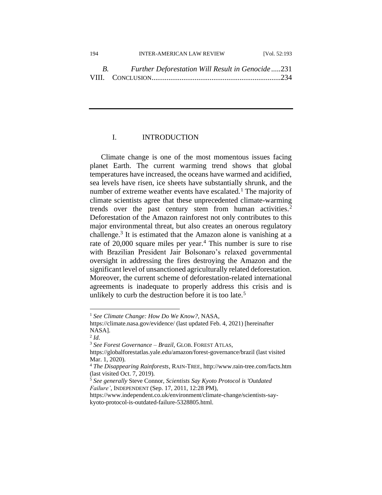| 194 | <b>INTER-AMERICAN LAW REVIEW</b>                                       | [Vol. 52:193] |
|-----|------------------------------------------------------------------------|---------------|
|     | <b>Further Deforestation Will Result in Genocide231</b><br>$B_{\rm c}$ |               |
|     |                                                                        |               |

# I. INTRODUCTION

Climate change is one of the most momentous issues facing planet Earth. The current warming trend shows that global temperatures have increased, the oceans have warmed and acidified, sea levels have risen, ice sheets have substantially shrunk, and the number of extreme weather events have escalated.<sup>1</sup> The majority of climate scientists agree that these unprecedented climate-warming trends over the past century stem from human activities.<sup>2</sup> Deforestation of the Amazon rainforest not only contributes to this major environmental threat, but also creates an onerous regulatory challenge.<sup>3</sup> It is estimated that the Amazon alone is vanishing at a rate of 20,000 square miles per year.<sup>4</sup> This number is sure to rise with Brazilian President Jair Bolsonaro's relaxed governmental oversight in addressing the fires destroying the Amazon and the significant level of unsanctioned agriculturally related deforestation. Moreover, the current scheme of deforestation-related international agreements is inadequate to properly address this crisis and is unlikely to curb the destruction before it is too late.<sup>5</sup>

<sup>1</sup> *See Climate Change: How Do We Know?,* NASA,

https://climate.nasa.gov/evidence/ (last updated Feb. 4, 2021) [hereinafter NASA].

<sup>2</sup> *Id*.

<sup>3</sup> *See Forest Governance – Brazil*, GLOB.FOREST ATLAS,

https://globalforestatlas.yale.edu/amazon/forest-governance/brazil (last visited Mar. 1, 2020).

<sup>4</sup> *The Disappearing Rainforests*, RAIN-TREE, http://www.rain-tree.com/facts.htm (last visited Oct. 7, 2019).

<sup>5</sup> *See generally* Steve Connor, *Scientists Say Kyoto Protocol is 'Outdated Failure'*, INDEPENDENT (Sep. 17, 2011, 12:28 PM),

https://www.independent.co.uk/environment/climate-change/scientists-saykyoto-protocol-is-outdated-failure-5328805.html.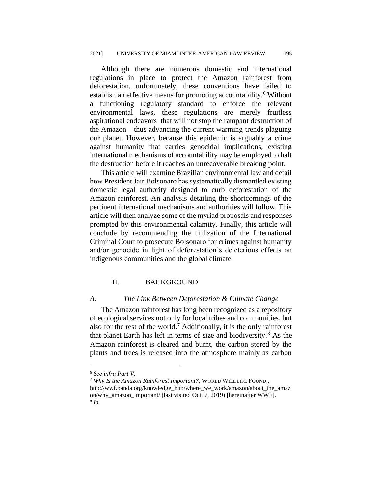Although there are numerous domestic and international regulations in place to protect the Amazon rainforest from deforestation, unfortunately, these conventions have failed to establish an effective means for promoting accountability.<sup>6</sup> Without a functioning regulatory standard to enforce the relevant environmental laws, these regulations are merely fruitless aspirational endeavors that will not stop the rampant destruction of the Amazon—thus advancing the current warming trends plaguing our planet. However, because this epidemic is arguably a crime against humanity that carries genocidal implications, existing international mechanisms of accountability may be employed to halt the destruction before it reaches an unrecoverable breaking point.

This article will examine Brazilian environmental law and detail how President Jair Bolsonaro has systematically dismantled existing domestic legal authority designed to curb deforestation of the Amazon rainforest. An analysis detailing the shortcomings of the pertinent international mechanisms and authorities will follow. This article will then analyze some of the myriad proposals and responses prompted by this environmental calamity. Finally, this article will conclude by recommending the utilization of the International Criminal Court to prosecute Bolsonaro for crimes against humanity and/or genocide in light of deforestation's deleterious effects on indigenous communities and the global climate.

# II. BACKGROUND

#### *A. The Link Between Deforestation & Climate Change*

The Amazon rainforest has long been recognized as a repository of ecological services not only for local tribes and communities, but also for the rest of the world.<sup>7</sup> Additionally, it is the only rainforest that planet Earth has left in terms of size and biodiversity.<sup>8</sup> As the Amazon rainforest is cleared and burnt, the carbon stored by the plants and trees is released into the atmosphere mainly as carbon

<sup>6</sup> *See infra Part V.*

<sup>7</sup> *Why Is the Amazon Rainforest Important?*, WORLD WILDLIFE FOUND., http://wwf.panda.org/knowledge\_hub/where\_we\_work/amazon/about\_the\_amaz on/why\_amazon\_important/ (last visited Oct. 7, 2019) [hereinafter WWF]. 8 *Id*.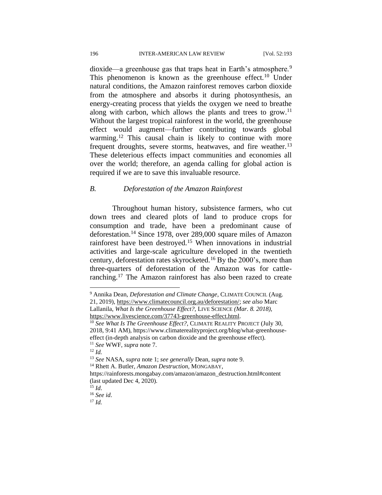dioxide—a greenhouse gas that traps heat in Earth's atmosphere.<sup>9</sup> This phenomenon is known as the greenhouse effect.<sup>10</sup> Under natural conditions, the Amazon rainforest removes carbon dioxide from the atmosphere and absorbs it during photosynthesis, an energy-creating process that yields the oxygen we need to breathe along with carbon, which allows the plants and trees to grow.<sup>11</sup> Without the largest tropical rainforest in the world, the greenhouse effect would augment—further contributing towards global warming.<sup>12</sup> This causal chain is likely to continue with more frequent droughts, severe storms, heatwaves, and fire weather.<sup>13</sup> These deleterious effects impact communities and economies all over the world; therefore, an agenda calling for global action is required if we are to save this invaluable resource.

# *B. Deforestation of the Amazon Rainforest*

Throughout human history, subsistence farmers, who cut down trees and cleared plots of land to produce crops for consumption and trade, have been a predominant cause of deforestation.<sup>14</sup> Since 1978, over 289,000 square miles of Amazon rainforest have been destroyed.<sup>15</sup> When innovations in industrial activities and large-scale agriculture developed in the twentieth century, deforestation rates skyrocketed.<sup>16</sup> By the 2000's, more than three-quarters of deforestation of the Amazon was for cattleranching.<sup>17</sup> The Amazon rainforest has also been razed to create

<sup>9</sup> Annika Dean, *Deforestation and Climate Change*, CLIMATE COUNCIL (Aug.

<sup>21, 2019),</sup> [https://www.climatecouncil.org.au/deforestation/;](https://www.climatecouncil.org.au/deforestation/) *see also* Marc Lallanila, *What Is the Greenhouse Effect?,* LIVE SCIENCE *(Mar. 8. 2018),*  [https://www.livescience.com/37743-greenhouse-effect.html.](https://www.livescience.com/37743-greenhouse-effect.html)

<sup>&</sup>lt;sup>10</sup> See What Is The Greenhouse Effect?, CLIMATE REALITY PROJECT (July 30, 2018, 9:41 AM), https://www.climaterealityproject.org/blog/what-greenhouseeffect (in-depth analysis on carbon dioxide and the greenhouse effect). <sup>11</sup> *See* WWF, *supra* note 7.

<sup>12</sup> *Id.*

<sup>13</sup> *See* NASA, *supra* note 1; *see generally* Dean, *supra* note 9.

<sup>14</sup> Rhett A. Butler*, Amazon Destruction,* MONGABAY,

[https://rainforests.mongabay.com/amazon/amazon\\_destruction.html#content](https://rainforests.mongabay.com/amazon/amazon_destruction.html#content) (last updated Dec 4, 2020).

 $^{15}$  *Id.* 

<sup>16</sup> *See id*.

 $17$  *Id.*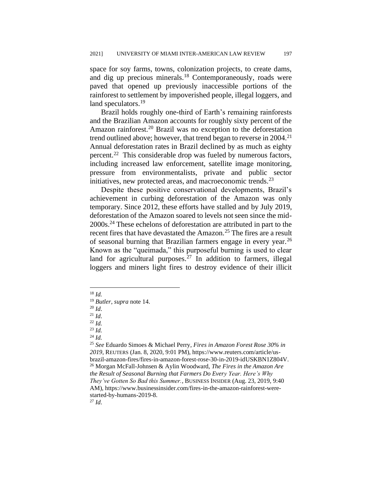space for soy farms, towns, colonization projects, to create dams, and dig up precious minerals.<sup>18</sup> Contemporaneously, roads were paved that opened up previously inaccessible portions of the rainforest to settlement by impoverished people, illegal loggers, and land speculators.<sup>19</sup>

Brazil holds roughly one-third of Earth's remaining rainforests and the Brazilian Amazon accounts for roughly sixty percent of the Amazon rainforest.<sup>20</sup> Brazil was no exception to the deforestation trend outlined above; however, that trend began to reverse in  $2004$ <sup>21</sup> Annual deforestation rates in Brazil declined by as much as eighty percent.<sup>22</sup> This considerable drop was fueled by numerous factors, including increased law enforcement, satellite image monitoring, pressure from environmentalists, private and public sector initiatives, new protected areas, and macroeconomic trends. $^{23}$ 

Despite these positive conservational developments, Brazil's achievement in curbing deforestation of the Amazon was only temporary. Since 2012, these efforts have stalled and by July 2019, deforestation of the Amazon soared to levels not seen since the mid-2000s.<sup>24</sup> These echelons of deforestation are attributed in part to the recent fires that have devastated the Amazon.<sup>25</sup> The fires are a result of seasonal burning that Brazilian farmers engage in every year.<sup>26</sup> Known as the "queimada," this purposeful burning is used to clear land for agricultural purposes.<sup>27</sup> In addition to farmers, illegal loggers and miners light fires to destroy evidence of their illicit

<sup>20</sup> *Id*.

<sup>21</sup> *Id*.

<sup>22</sup> *Id.*

<sup>23</sup> *Id.*

<sup>27</sup> *Id*.

<sup>18</sup> *Id.* 

<sup>19</sup> *Butler*, *supra* note 14.

<sup>24</sup> *Id.*

<sup>25</sup> *See* Eduardo Simoes & Michael Perry*, Fires in Amazon Forest Rose 30% in 2019*, REUTERS (Jan. 8, 2020, 9:01 PM), https://www.reuters.com/article/usbrazil-amazon-fires/fires-in-amazon-forest-rose-30-in-2019-idUSKBN1Z804V. <sup>26</sup> Morgan McFall-Johnsen & Aylin Woodward, *The Fires in the Amazon Are the Result of Seasonal Burning that Farmers Do Every Year. Here's Why They've Gotten So Bad this Summer.*, BUSINESS INSIDER (Aug. 23, 2019, 9:40 AM), https://www.businessinsider.com/fires-in-the-amazon-rainforest-werestarted-by-humans-2019-8.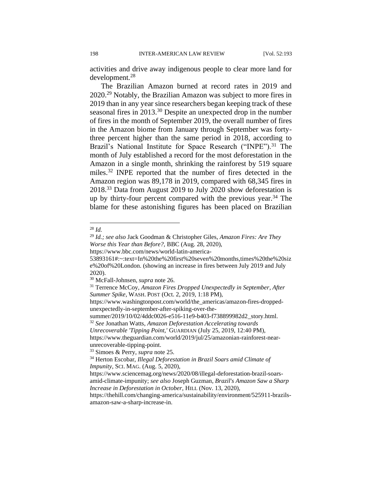activities and drive away indigenous people to clear more land for development.<sup>28</sup>

The Brazilian Amazon burned at record rates in 2019 and 2020.<sup>29</sup> Notably, the Brazilian Amazon was subject to more fires in 2019 than in any year since researchers began keeping track of these seasonal fires in 2013.<sup>30</sup> Despite an unexpected drop in the number of fires in the month of September 2019, the overall number of fires in the Amazon biome from January through September was fortythree percent higher than the same period in 2018, according to Brazil's National Institute for Space Research ("INPE").<sup>31</sup> The month of July established a record for the most deforestation in the Amazon in a single month, shrinking the rainforest by 519 square miles.<sup>32</sup> INPE reported that the number of fires detected in the Amazon region was 89,178 in 2019, compared with 68,345 fires in 2018.<sup>33</sup> Data from August 2019 to July 2020 show deforestation is up by thirty-four percent compared with the previous year.<sup>34</sup> The blame for these astonishing figures has been placed on Brazilian

 $^{28}$  *Id.* 

<sup>29</sup> *Id.; see also* Jack Goodman & Christopher Giles, *Amazon Fires: Are They Worse this Year than Before?,* BBC (Aug. 28, 2020),

https://www.bbc.com/news/world-latin-america-

<sup>53893161#:~:</sup>text=In%20the%20first%20seven%20months,times%20the%20siz e%20of%20London. (showing an increase in fires between July 2019 and July 2020).

<sup>30</sup> McFall-Johnsen, *supra* note 26.

<sup>31</sup> Terrence McCoy, *Amazon Fires Dropped Unexpectedly in September, After Summer Spike*, WASH.POST (Oct. 2, 2019, 1:18 PM),

https://www.washingtonpost.com/world/the\_americas/amazon-fires-droppedunexpectedly-in-september-after-spiking-over-the-

summer/2019/10/02/4ddc0026-e516-11e9-b403-f738899982d2\_story.html.

<sup>32</sup> *See* Jonathan Watts, *Amazon Deforestation Accelerating towards* 

*Unrecoverable 'Tipping Point,'* GUARDIAN (July 25, 2019, 12:40 PM), https://www.theguardian.com/world/2019/jul/25/amazonian-rainforest-nearunrecoverable-tipping-point.

<sup>33</sup> Simoes & Perry, *supra* note 25.

<sup>34</sup> Herton Escobar, *Illegal Deforestation in Brazil Soars amid Climate of Impunity*, SCI. MAG. (Aug. 5, 2020),

https://www.sciencemag.org/news/2020/08/illegal-deforestation-brazil-soarsamid-climate-impunity; *see also* Joseph Guzman*, Brazil's Amazon Saw a Sharp Increase in Deforestation in October,* HILL (Nov. 13, 2020),

https://thehill.com/changing-america/sustainability/environment/525911-brazilsamazon-saw-a-sharp-increase-in.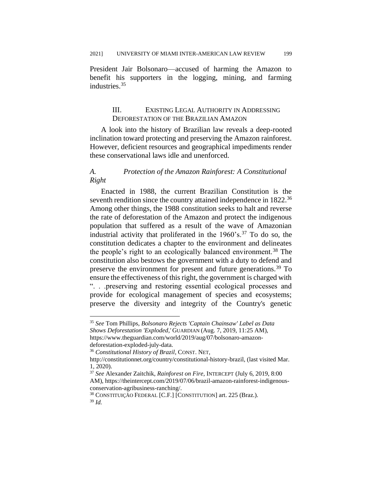President Jair Bolsonaro—accused of harming the Amazon to benefit his supporters in the logging, mining, and farming industries.<sup>35</sup>

# III. EXISTING LEGAL AUTHORITY IN ADDRESSING DEFORESTATION OF THE BRAZILIAN AMAZON

A look into the history of Brazilian law reveals a deep-rooted inclination toward protecting and preserving the Amazon rainforest. However, deficient resources and geographical impediments render these conservational laws idle and unenforced.

# *A. Protection of the Amazon Rainforest: A Constitutional Right*

Enacted in 1988, the current Brazilian Constitution is the seventh rendition since the country attained independence in 1822.<sup>36</sup> Among other things, the 1988 constitution seeks to halt and reverse the rate of deforestation of the Amazon and protect the indigenous population that suffered as a result of the wave of Amazonian industrial activity that proliferated in the  $1960 \text{'s}$ .<sup>37</sup> To do so, the constitution dedicates a chapter to the environment and delineates the people's right to an ecologically balanced environment.<sup>38</sup> The constitution also bestows the government with a duty to defend and preserve the environment for present and future generations.<sup>39</sup> To ensure the effectiveness of this right, the government is charged with ". . .preserving and restoring essential ecological processes and provide for ecological management of species and ecosystems; preserve the diversity and integrity of the Country's genetic

<sup>35</sup> *See* Tom Phillips, *Bolsonaro Rejects 'Captain Chainsaw' Label as Data Shows Deforestation 'Exploded*,*'* GUARDIAN (Aug. 7, 2019, 11:25 AM), https://www.theguardian.com/world/2019/aug/07/bolsonaro-amazondeforestation-exploded-july-data.

<sup>36</sup> *Constitutional History of Brazil*, CONST. NET,

http://constitutionnet.org/country/constitutional-history-brazil, (last visited Mar. 1, 2020).

<sup>37</sup> *See* Alexander Zaitchik, *Rainforest on Fire*, INTERCEPT (July 6, 2019, 8:00 AM), https://theintercept.com/2019/07/06/brazil-amazon-rainforest-indigenousconservation-agribusiness-ranching/.

<sup>38</sup> CONSTITUIÇÃO FEDERAL [C.F.] [CONSTITUTION] art. 225 (Braz.). <sup>39</sup> *Id.*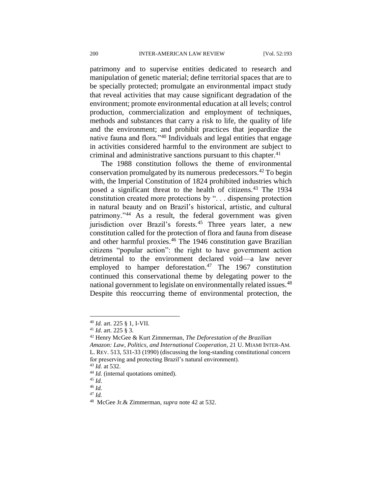patrimony and to supervise entities dedicated to research and manipulation of genetic material; define territorial spaces that are to be specially protected; promulgate an environmental impact study that reveal activities that may cause significant degradation of the environment; promote environmental education at all levels; control production, commercialization and employment of techniques, methods and substances that carry a risk to life, the quality of life and the environment; and prohibit practices that jeopardize the native fauna and flora."<sup>40</sup> Individuals and legal entities that engage in activities considered harmful to the environment are subject to criminal and administrative sanctions pursuant to this chapter. $41$ 

The 1988 constitution follows the theme of environmental conservation promulgated by its numerous predecessors.<sup>42</sup> To begin with, the Imperial Constitution of 1824 prohibited industries which posed a significant threat to the health of citizens.<sup>43</sup> The 1934 constitution created more protections by ". . . dispensing protection in natural beauty and on Brazil's historical, artistic, and cultural patrimony."<sup>44</sup> As a result, the federal government was given jurisdiction over Brazil's forests.<sup>45</sup> Three years later, a new constitution called for the protection of flora and fauna from disease and other harmful proxies.<sup>46</sup> The 1946 constitution gave Brazilian citizens "popular action": the right to have government action detrimental to the environment declared void—a law never employed to hamper deforestation.<sup>47</sup> The 1967 constitution continued this conservational theme by delegating power to the national government to legislate on environmentally related issues.<sup>48</sup> Despite this reoccurring theme of environmental protection, the

<sup>40</sup> *Id.* art. 225 § 1, I-VII.

<sup>41</sup> *Id.* art. 225 § 3.

<sup>42</sup> Henry McGee & Kurt Zimmerman, *The Deforestation of the Brazilian Amazon: Law, Politics, and International Cooperation*, 21 U. MIAMI INTER-AM. L. REV. 513, 531-33 (1990) (discussing the long-standing constitutional concern for preserving and protecting Brazil's natural environment).

<sup>43</sup> *Id.* at 532.

<sup>&</sup>lt;sup>44</sup> *Id.* (internal quotations omitted).

<sup>45</sup> *Id*.

<sup>46</sup> *Id.*

<sup>47</sup> *Id.*

<sup>48</sup> McGee Jr.& Zimmerman, *supra* note 42 at 532.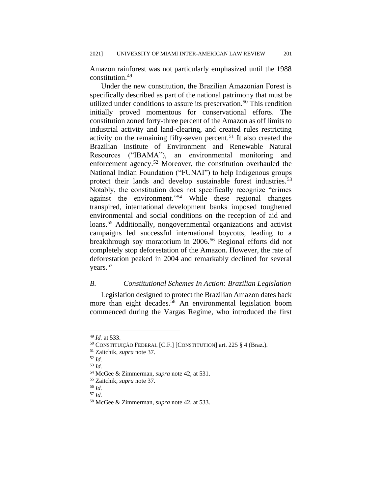Amazon rainforest was not particularly emphasized until the 1988 constitution.<sup>49</sup>

Under the new constitution, the Brazilian Amazonian Forest is specifically described as part of the national patrimony that must be utilized under conditions to assure its preservation.<sup>50</sup> This rendition initially proved momentous for conservational efforts. The constitution zoned forty-three percent of the Amazon as off limits to industrial activity and land-clearing, and created rules restricting activity on the remaining fifty-seven percent.<sup>51</sup> It also created the Brazilian Institute of Environment and Renewable Natural Resources ("IBAMA"), an environmental monitoring and enforcement agency.<sup>52</sup> Moreover, the constitution overhauled the National Indian Foundation ("FUNAI") to help Indigenous groups protect their lands and develop sustainable forest industries.<sup>53</sup> Notably, the constitution does not specifically recognize "crimes against the environment."<sup>54</sup> While these regional changes transpired, international development banks imposed toughened environmental and social conditions on the reception of aid and loans.<sup>55</sup> Additionally, nongovernmental organizations and activist campaigns led successful international boycotts, leading to a breakthrough soy moratorium in 2006.<sup>56</sup> Regional efforts did not completely stop deforestation of the Amazon. However, the rate of deforestation peaked in 2004 and remarkably declined for several years.<sup>57</sup>

# *B. Constitutional Schemes In Action: Brazilian Legislation*

Legislation designed to protect the Brazilian Amazon dates back more than eight decades.<sup>58</sup> An environmental legislation boom commenced during the Vargas Regime, who introduced the first

<sup>49</sup> *Id.* at 533.

<sup>50</sup> CONSTITUIÇÃO FEDERAL [C.F.] [CONSTITUTION] art. 225 § 4 (Braz.).

<sup>51</sup> Zaitchik, *supra* note 37.

<sup>52</sup> *Id.*

<sup>53</sup> *Id.*

<sup>54</sup> McGee & Zimmerman, *supra* note 42, at 531.

<sup>55</sup> Zaitchik, *supra* note 37.

<sup>56</sup> *Id.*

<sup>57</sup> *Id.*

<sup>58</sup> McGee & Zimmerman, *supra* note 42, at 533.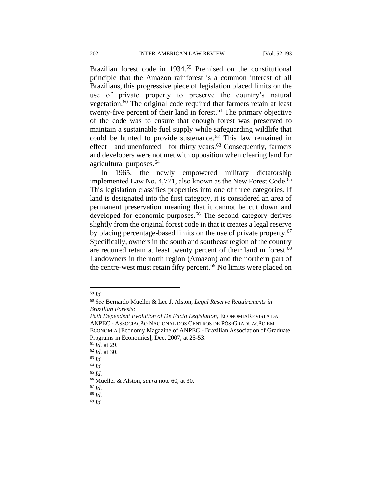Brazilian forest code in 1934.<sup>59</sup> Premised on the constitutional principle that the Amazon rainforest is a common interest of all Brazilians, this progressive piece of legislation placed limits on the use of private property to preserve the country's natural vegetation.<sup>60</sup> The original code required that farmers retain at least twenty-five percent of their land in forest. $61$  The primary objective of the code was to ensure that enough forest was preserved to maintain a sustainable fuel supply while safeguarding wildlife that could be hunted to provide sustenance.<sup> $62$ </sup> This law remained in effect—and unenforced—for thirty years.<sup>63</sup> Consequently, farmers and developers were not met with opposition when clearing land for agricultural purposes.<sup>64</sup>

In 1965, the newly empowered military dictatorship implemented Law No. 4,771, also known as the New Forest Code.<sup>65</sup> This legislation classifies properties into one of three categories. If land is designated into the first category, it is considered an area of permanent preservation meaning that it cannot be cut down and developed for economic purposes.<sup>66</sup> The second category derives slightly from the original forest code in that it creates a legal reserve by placing percentage-based limits on the use of private property.<sup>67</sup> Specifically, owners in the south and southeast region of the country are required retain at least twenty percent of their land in forest.<sup>68</sup> Landowners in the north region (Amazon) and the northern part of the centre-west must retain fifty percent.<sup>69</sup> No limits were placed on

<sup>59</sup> *Id.*

<sup>60</sup> *See* Bernardo Mueller & Lee J. Alston, *Legal Reserve Requirements in Brazilian Forests:*

*Path Dependent Evolution of De Facto Legislation*, ECONOMÍAREVISTA DA ANPEC - ASSOCIAÇÃO NACIONAL DOS CENTROS DE PÓS-GRADUAÇÃO EM ECONOMIA [Economy Magazine of ANPEC - Brazilian Association of Graduate Programs in Economics], Dec. 2007, at 25-53.

<sup>61</sup> *Id.* at 29.

<sup>62</sup> *Id.* at 30.

<sup>63</sup> *Id.*

<sup>64</sup> *Id.*

<sup>65</sup> *Id.*

<sup>66</sup> Mueller & Alston, *supra* note 60, at 30.

<sup>67</sup> *Id.*

<sup>68</sup> *Id.*

<sup>69</sup> *Id.*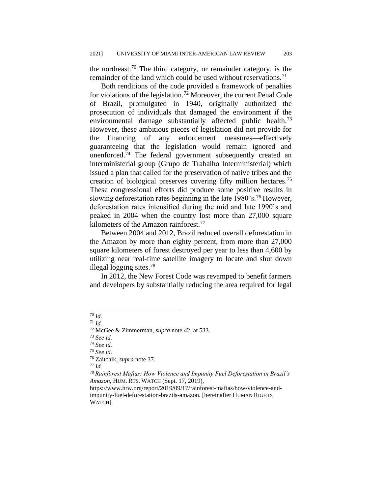the northeast.<sup>70</sup> The third category, or remainder category, is the remainder of the land which could be used without reservations.<sup>71</sup>

Both renditions of the code provided a framework of penalties for violations of the legislation.<sup>72</sup> Moreover, the current Penal Code of Brazil, promulgated in 1940, originally authorized the prosecution of individuals that damaged the environment if the environmental damage substantially affected public health.<sup>73</sup> However, these ambitious pieces of legislation did not provide for the financing of any enforcement measures—effectively guaranteeing that the legislation would remain ignored and unenforced. $74$  The federal government subsequently created an interministerial group (Grupo de Trabalho Interministerial) which issued a plan that called for the preservation of native tribes and the creation of biological preserves covering fifty million hectares.<sup>75</sup> These congressional efforts did produce some positive results in slowing deforestation rates beginning in the late 1980's.<sup>76</sup> However, deforestation rates intensified during the mid and late 1990's and peaked in 2004 when the country lost more than 27,000 square kilometers of the Amazon rainforest.<sup>77</sup>

Between 2004 and 2012, Brazil reduced overall deforestation in the Amazon by more than eighty percent, from more than 27,000 square kilometers of forest destroyed per year to less than 4,600 by utilizing near real-time satellite imagery to locate and shut down illegal logging sites.<sup>78</sup>

In 2012, the New Forest Code was revamped to benefit farmers and developers by substantially reducing the area required for legal

<sup>70</sup> *Id.*

<sup>71</sup> *Id.*

<sup>72</sup> McGee & Zimmerman, *supra* note 42, at 533.

<sup>73</sup> *See id.*

<sup>74</sup> *See id.*

<sup>75</sup> *See id.*

<sup>76</sup> Zaitchik, *supra* note 37.

<sup>77</sup> *Id.*

<sup>78</sup> *Rainforest Mafias: How Violence and Impunity Fuel Deforestation in Brazil's Amazon*, HUM. RTS. WATCH (Sept. 17, 2019),

[https://www.hrw.org/report/2019/09/17/rainforest-mafias/how-violence-and](https://www.hrw.org/report/2019/09/17/rainforest-mafias/how-violence-and-impunity-fuel-deforestation-brazils-amazon)[impunity-fuel-deforestation-brazils-amazon.](https://www.hrw.org/report/2019/09/17/rainforest-mafias/how-violence-and-impunity-fuel-deforestation-brazils-amazon) [hereinafter HUMAN RIGHTS WATCH].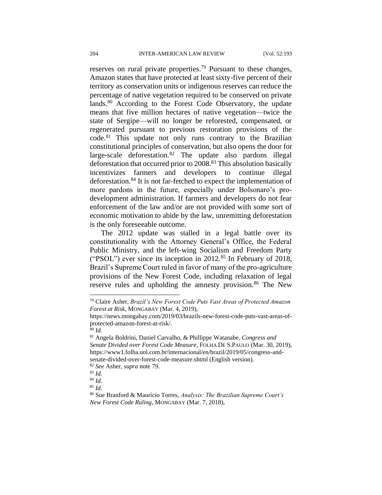reserves on rural private properties.<sup>79</sup> Pursuant to these changes, Amazon states that have protected at least sixty-five percent of their territory as conservation units or indigenous reserves can reduce the percentage of native vegetation required to be conserved on private lands.<sup>80</sup> According to the Forest Code Observatory, the update means that five million hectares of native vegetation—twice the state of Sergipe—will no longer be reforested, compensated, or regenerated pursuant to previous restoration provisions of the code.<sup>81</sup> This update not only runs contrary to the Brazilian constitutional principles of conservation, but also opens the door for large-scale deforestation.<sup>82</sup> The update also pardons illegal deforestation that occurred prior to 2008.<sup>83</sup> This absolution basically incentivizes farmers and developers to continue illegal deforestation.<sup>84</sup> It is not far-fetched to expect the implementation of more pardons in the future, especially under Bolsonaro's prodevelopment administration. If farmers and developers do not fear enforcement of the law and/or are not provided with some sort of economic motivation to abide by the law, unremitting deforestation is the only foreseeable outcome.

The 2012 update was stalled in a legal battle over its constitutionality with the Attorney General's Office, the Federal Public Ministry, and the left-wing Socialism and Freedom Party ("PSOL") ever since its inception in 2012.<sup>85</sup> In February of 2018, Brazil's Supreme Court ruled in favor of many of the pro-agriculture provisions of the New Forest Code, including relaxation of legal reserve rules and upholding the amnesty provision.<sup>86</sup> The New

<sup>80</sup> *Id.*

<sup>79</sup> Claire Asher, *Brazil's New Forest Code Puts Vast Areas of Protected Amazon Forest at Risk*, MONGABAY (Mar. 4, 2019),

https://news.mongabay.com/2019/03/brazils-new-forest-code-puts-vast-areas-ofprotected-amazon-forest-at-risk/.

<sup>81</sup> Angela Boldrini, Daniel Carvalho, & Phillippe Watanabe, *Congress and Senate Divided over Forest Code Measure*, FOLHA DE S.PAULO (Mar. 30, 2019), https://www1.folha.uol.com.br/internacional/en/brazil/2019/05/congress-andsenate-divided-over-forest-code-measure.shtml (English version).

<sup>82</sup> *See* Asher, *supra* note 79.

<sup>83</sup> *Id.*

<sup>84</sup> *Id.* <sup>85</sup> *Id.*

<sup>86</sup> Sue Branford & Maurício Torres, *Analysis: The Brazilian Supreme Court's New Forest Code Ruling*, MONGABAY (Mar. 7, 2018),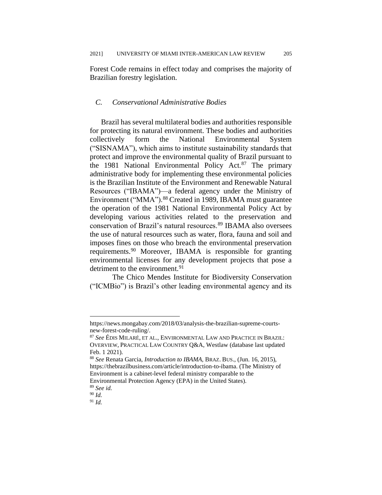Forest Code remains in effect today and comprises the majority of Brazilian forestry legislation.

#### *C. Conservational Administrative Bodies*

Brazil has several multilateral bodies and authorities responsible for protecting its natural environment. These bodies and authorities collectively form the National Environmental System ("SISNAMA"), which aims to institute sustainability standards that protect and improve the environmental quality of Brazil pursuant to the 1981 National Environmental Policy Act.<sup>87</sup> The primary administrative body for implementing these environmental policies is the Brazilian Institute of the Environment and Renewable Natural Resources ("IBAMA")—a federal agency under the Ministry of Environment ("MMA").<sup>88</sup> Created in 1989, IBAMA must guarantee the operation of the 1981 National Environmental Policy Act by developing various activities related to the preservation and conservation of Brazil's natural resources.<sup>89</sup> IBAMA also oversees the use of natural resources such as water, flora, fauna and soil and imposes fines on those who breach the environmental preservation requirements.<sup>90</sup> Moreover, IBAMA is responsible for granting environmental licenses for any development projects that pose a detriment to the environment.<sup>91</sup>

The Chico Mendes Institute for Biodiversity Conservation ("ICMBio") is Brazil's other leading environmental agency and its

https://news.mongabay.com/2018/03/analysis-the-brazilian-supreme-courtsnew-forest-code-ruling/.

<sup>87</sup> *See* ÉDIS MILARÉ, ET AL., ENVIRONMENTAL LAW AND PRACTICE IN BRAZIL: OVERVIEW,PRACTICAL LAW COUNTRY Q&A, Westlaw (database last updated Feb. 1 2021).

<sup>88</sup> *See* Renata Garcia, *Introduction to IBAMA*, BRAZ. BUS., (Jun. 16, 2015), https://thebrazilbusiness.com/article/introduction-to-ibama. (The Ministry of Environment is a cabinet-level federal ministry comparable to the Environmental Protection Agency (EPA) in the United States).

<sup>89</sup> *See id.*

<sup>90</sup> *Id.* 

<sup>91</sup> *Id.*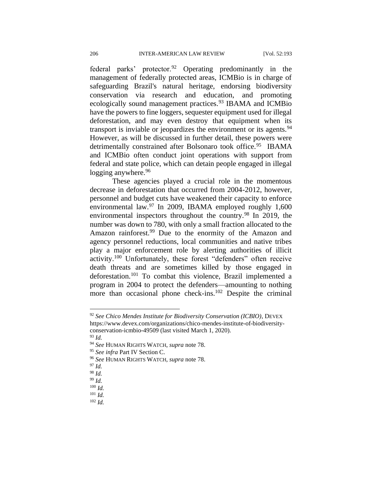federal parks' protector.<sup>92</sup> Operating predominantly in the management of federally protected areas, ICMBio is in charge of safeguarding Brazil's natural heritage, endorsing biodiversity conservation via research and education, and promoting ecologically sound management practices.<sup>93</sup> IBAMA and ICMBio have the powers to fine loggers, sequester equipment used for illegal deforestation, and may even destroy that equipment when its transport is inviable or jeopardizes the environment or its agents.<sup>94</sup> However, as will be discussed in further detail, these powers were detrimentally constrained after Bolsonaro took office.<sup>95</sup> IBAMA and ICMBio often conduct joint operations with support from federal and state police, which can detain people engaged in illegal logging anywhere.<sup>96</sup>

These agencies played a crucial role in the momentous decrease in deforestation that occurred from 2004-2012, however, personnel and budget cuts have weakened their capacity to enforce environmental law.<sup>97</sup> In 2009, IBAMA employed roughly 1,600 environmental inspectors throughout the country.<sup>98</sup> In 2019, the number was down to 780, with only a small fraction allocated to the Amazon rainforest.<sup>99</sup> Due to the enormity of the Amazon and agency personnel reductions, local communities and native tribes play a major enforcement role by alerting authorities of illicit activity.<sup>100</sup> Unfortunately, these forest "defenders" often receive death threats and are sometimes killed by those engaged in deforestation.<sup>101</sup> To combat this violence, Brazil implemented a program in 2004 to protect the defenders—amounting to nothing more than occasional phone check-ins.<sup>102</sup> Despite the criminal

<sup>93</sup> *Id.* 

<sup>97</sup> *Id.*

<sup>92</sup> *See Chico Mendes Institute for Biodiversity Conservation (ICBIO)*, DEVEX https://www.devex.com/organizations/chico-mendes-institute-of-biodiversityconservation-icmbio-49509 (last visited March 1, 2020).

<sup>94</sup> *See* HUMAN RIGHTS WATCH, *supra* note 78.

<sup>95</sup> *See infra* Part IV Section C.

<sup>96</sup> *See* HUMAN RIGHTS WATCH, *supra* note 78.

<sup>98</sup> *Id.*

<sup>99</sup> *Id.*

<sup>100</sup> *Id.*

<sup>101</sup> *Id.*

<sup>102</sup> *Id.*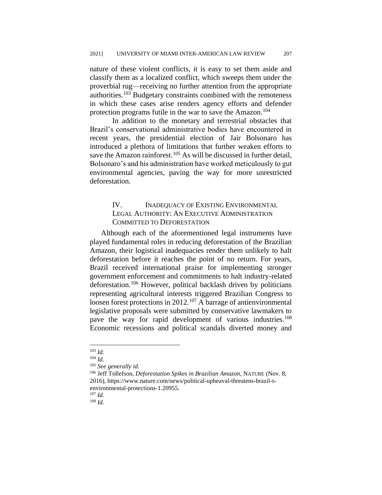nature of these violent conflicts, it is easy to set them aside and classify them as a localized conflict, which sweeps them under the proverbial rug—receiving no further attention from the appropriate authorities.<sup>103</sup> Budgetary constraints combined with the remoteness in which these cases arise renders agency efforts and defender protection programs futile in the war to save the Amazon.<sup>104</sup>

In addition to the monetary and terrestrial obstacles that Brazil's conservational administrative bodies have encountered in recent years, the presidential election of Jair Bolsonaro has introduced a plethora of limitations that further weaken efforts to save the Amazon rainforest.<sup>105</sup> As will be discussed in further detail, Bolsonaro's and his administration have worked meticulously to gut environmental agencies, paving the way for more unrestricted deforestation.

# IV. INADEQUACY OF EXISTING ENVIRONMENTAL LEGAL AUTHORITY: AN EXECUTIVE ADMINISTRATION COMMITTED TO DEFORESTATION

Although each of the aforementioned legal instruments have played fundamental roles in reducing deforestation of the Brazilian Amazon, their logistical inadequacies render them unlikely to halt deforestation before it reaches the point of no return. For years, Brazil received international praise for implementing stronger government enforcement and commitments to halt industry-related deforestation.<sup>106</sup> However, political backlash driven by politicians representing agricultural interests triggered Brazilian Congress to loosen forest protections in 2012.<sup>107</sup> A barrage of antienvironmental legislative proposals were submitted by conservative lawmakers to pave the way for rapid development of various industries.<sup>108</sup> Economic recessions and political scandals diverted money and

<sup>107</sup> *Id.*

<sup>108</sup> *Id.*

<sup>103</sup> *Id.*

<sup>104</sup> *Id.*

<sup>105</sup> *See generally id.* 

<sup>106</sup> Jeff Tollefson, *Deforestation Spikes in Brazilian Amazon*, NATURE (Nov. 8, 2016), https://www.nature.com/news/political-upheaval-threatens-brazil-senvironmental-protections-1.20955.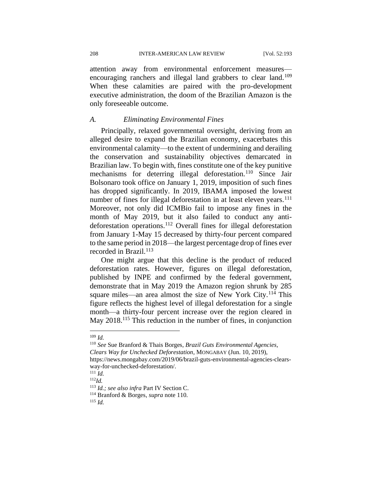208 INTER-AMERICAN LAW REVIEW [Vol. 52:193

attention away from environmental enforcement measures encouraging ranchers and illegal land grabbers to clear land.<sup>109</sup> When these calamities are paired with the pro-development executive administration, the doom of the Brazilian Amazon is the only foreseeable outcome.

#### *A. Eliminating Environmental Fines*

Principally, relaxed governmental oversight, deriving from an alleged desire to expand the Brazilian economy, exacerbates this environmental calamity—to the extent of undermining and derailing the conservation and sustainability objectives demarcated in Brazilian law. To begin with, fines constitute one of the key punitive mechanisms for deterring illegal deforestation.<sup>110</sup> Since Jair Bolsonaro took office on January 1, 2019, imposition of such fines has dropped significantly. In 2019, IBAMA imposed the lowest number of fines for illegal deforestation in at least eleven years.<sup>111</sup> Moreover, not only did ICMBio fail to impose any fines in the month of May 2019, but it also failed to conduct any antideforestation operations.<sup>112</sup> Overall fines for illegal deforestation from January 1-May 15 decreased by thirty-four percent compared to the same period in 2018—the largest percentage drop of fines ever recorded in Brazil.<sup>113</sup>

One might argue that this decline is the product of reduced deforestation rates. However, figures on illegal deforestation, published by INPE and confirmed by the federal government, demonstrate that in May 2019 the Amazon region shrunk by 285 square miles—an area almost the size of New York City.<sup>114</sup> This figure reflects the highest level of illegal deforestation for a single month—a thirty-four percent increase over the region cleared in May 2018.<sup>115</sup> This reduction in the number of fines, in conjunction

<sup>109</sup> *Id.*

<sup>110</sup> *See* Sue Branford & Thais Borges, *Brazil Guts Environmental Agencies, Clears Way for Unchecked Deforestation*, MONGABAY (Jun. 10, 2019), https://news.mongabay.com/2019/06/brazil-guts-environmental-agencies-clearsway-for-unchecked-deforestation/.

<sup>111</sup> *Id.*

<sup>112</sup>*Id.*

<sup>113</sup> *Id.; see also infra* Part IV Section C.

<sup>114</sup> Branford & Borges, *supra* note 110.

<sup>115</sup> *Id.*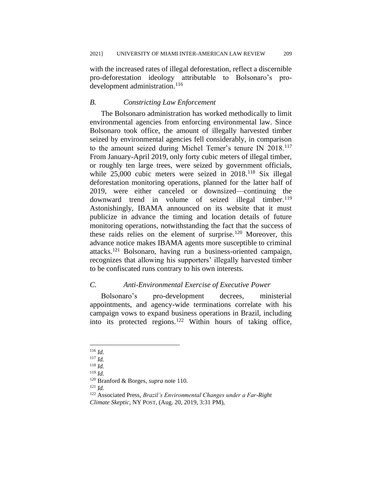with the increased rates of illegal deforestation, reflect a discernible pro-deforestation ideology attributable to Bolsonaro's prodevelopment administration.<sup>116</sup>

#### *B. Constricting Law Enforcement*

The Bolsonaro administration has worked methodically to limit environmental agencies from enforcing environmental law. Since Bolsonaro took office, the amount of illegally harvested timber seized by environmental agencies fell considerably, in comparison to the amount seized during Michel Temer's tenure IN 2018.<sup>117</sup> From January-April 2019, only forty cubic meters of illegal timber, or roughly ten large trees, were seized by government officials, while 25,000 cubic meters were seized in 2018.<sup>118</sup> Six illegal deforestation monitoring operations, planned for the latter half of 2019, were either canceled or downsized—continuing the downward trend in volume of seized illegal timber.<sup>119</sup> Astonishingly, IBAMA announced on its website that it must publicize in advance the timing and location details of future monitoring operations, notwithstanding the fact that the success of these raids relies on the element of surprise.<sup>120</sup> Moreover, this advance notice makes IBAMA agents more susceptible to criminal attacks.<sup>121</sup> Bolsonaro, having run a business-oriented campaign, recognizes that allowing his supporters' illegally harvested timber to be confiscated runs contrary to his own interests.

# *C. Anti-Environmental Exercise of Executive Power*

Bolsonaro's pro-development decrees, ministerial appointments, and agency-wide terminations correlate with his campaign vows to expand business operations in Brazil, including into its protected regions.<sup>122</sup> Within hours of taking office,

 $121$  *Id.* 

<sup>116</sup> *Id.*

<sup>117</sup> *Id.*

<sup>118</sup> *Id.*

<sup>119</sup> *Id.*

<sup>120</sup> Branford & Borges, *supra* note 110.

<sup>122</sup> Associated Press, *Brazil's Environmental Changes under a Far-Right Climate Skeptic*, NY POST, (Aug. 20, 2019, 3:31 PM),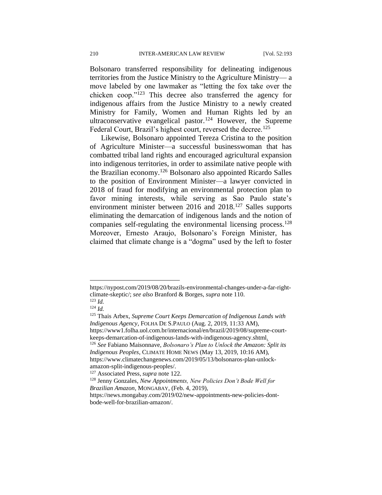Bolsonaro transferred responsibility for delineating indigenous territories from the Justice Ministry to the Agriculture Ministry— a move labeled by one lawmaker as "letting the fox take over the chicken coop."<sup>123</sup> This decree also transferred the agency for indigenous affairs from the Justice Ministry to a newly created Ministry for Family, Women and Human Rights led by an ultraconservative evangelical pastor.<sup>124</sup> However, the Supreme Federal Court, Brazil's highest court, reversed the decree.<sup>125</sup>

Likewise, Bolsonaro appointed Tereza Cristina to the position of Agriculture Minister—a successful businesswoman that has combatted tribal land rights and encouraged agricultural expansion into indigenous territories, in order to assimilate native people with the Brazilian economy.<sup>126</sup> Bolsonaro also appointed Ricardo Salles to the position of Environment Minister—a lawyer convicted in 2018 of fraud for modifying an environmental protection plan to favor mining interests, while serving as Sao Paulo state's environment minister between 2016 and 2018.<sup>127</sup> Salles supports eliminating the demarcation of indigenous lands and the notion of companies self-regulating the environmental licensing process.<sup>128</sup> Moreover, Ernesto Araujo, Bolsonaro's Foreign Minister, has claimed that climate change is a "dogma" used by the left to foster

https://nypost.com/2019/08/20/brazils-environmental-changes-under-a-far-rightclimate-skeptic/; *see also* Branford & Borges, *supra* note 110.  $123$  *Id.* 

<sup>124</sup> *Id.*

<sup>125</sup> Thais Arbex, *Supreme Court Keeps Demarcation of Indigenous Lands with Indigenous Agency*, FOLHA DE S.PAULO (Aug. 2, 2019, 11:33 AM), https://www1.folha.uol.com.br/internacional/en/brazil/2019/08/supreme-court-

keeps-demarcation-of-indigenous-lands-with-indigenous-agency.shtml.

<sup>126</sup> *See* Fabiano Maisonnave, *Bolsonaro's Plan to Unlock the Amazon: Split its Indigenous Peoples*, CLIMATE HOME NEWS (May 13, 2019, 10:16 AM), https://www.climatechangenews.com/2019/05/13/bolsonaros-plan-unlockamazon-split-indigenous-peoples/.

<sup>127</sup> Associated Press, *supra* note 122.

<sup>128</sup> Jenny Gonzales, *New Appointments, New Policies Don't Bode Well for Brazilian Amazon*, MONGABAY, (Feb. 4, 2019),

https://news.mongabay.com/2019/02/new-appointments-new-policies-dontbode-well-for-brazilian-amazon/.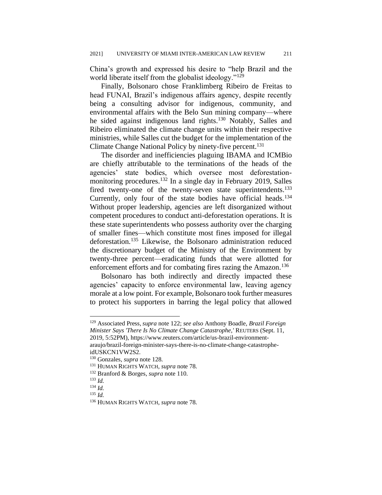China's growth and expressed his desire to "help Brazil and the world liberate itself from the globalist ideology."<sup>129</sup>

Finally, Bolsonaro chose Franklimberg Ribeiro de Freitas to head FUNAI, Brazil's indigenous affairs agency, despite recently being a consulting advisor for indigenous, community, and environmental affairs with the Belo Sun mining company—where he sided against indigenous land rights.<sup>130</sup> Notably, Salles and Ribeiro eliminated the climate change units within their respective ministries, while Salles cut the budget for the implementation of the Climate Change National Policy by ninety-five percent.<sup>131</sup>

The disorder and inefficiencies plaguing IBAMA and ICMBio are chiefly attributable to the terminations of the heads of the agencies' state bodies, which oversee most deforestationmonitoring procedures.<sup>132</sup> In a single day in February 2019, Salles fired twenty-one of the twenty-seven state superintendents.<sup>133</sup> Currently, only four of the state bodies have official heads.<sup>134</sup> Without proper leadership, agencies are left disorganized without competent procedures to conduct anti-deforestation operations. It is these state superintendents who possess authority over the charging of smaller fines—which constitute most fines imposed for illegal deforestation.<sup>135</sup> Likewise, the Bolsonaro administration reduced the discretionary budget of the Ministry of the Environment by twenty-three percent—eradicating funds that were allotted for enforcement efforts and for combating fires razing the Amazon.<sup>136</sup>

Bolsonaro has both indirectly and directly impacted these agencies' capacity to enforce environmental law, leaving agency morale at a low point. For example, Bolsonaro took further measures to protect his supporters in barring the legal policy that allowed

<sup>129</sup> Associated Press, *supra* note 122; *see also* Anthony Boadle, *Brazil Foreign Minister Says 'There Is No Climate Change Catastrophe,'* REUTERS (Sept. 11, 2019, 5:52PM), https://www.reuters.com/article/us-brazil-environmentaraujo/brazil-foreign-minister-says-there-is-no-climate-change-catastropheidUSKCN1VW2S2.

<sup>130</sup> Gonzales, *supra* note 128.

<sup>131</sup> HUMAN RIGHTS WATCH, *supra* note 78.

<sup>132</sup> Branford & Borges, *supra* note 110.

<sup>133</sup> *Id.*

<sup>134</sup> *Id.*

<sup>135</sup> *Id.*

<sup>136</sup> HUMAN RIGHTS WATCH, *supra* note 78.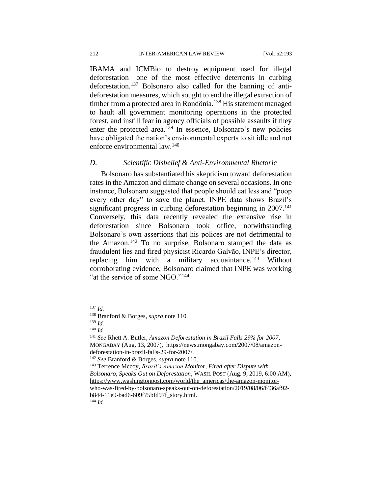IBAMA and ICMBio to destroy equipment used for illegal deforestation—one of the most effective deterrents in curbing deforestation.<sup>137</sup> Bolsonaro also called for the banning of antideforestation measures, which sought to end the illegal extraction of timber from a protected area in Rondônia.<sup>138</sup> His statement managed to hault all government monitoring operations in the protected forest, and instill fear in agency officials of possible assaults if they enter the protected area.<sup>139</sup> In essence, Bolsonaro's new policies have obligated the nation's environmental experts to sit idle and not enforce environmental law.<sup>140</sup>

# *D. Scientific Disbelief & Anti-Environmental Rhetoric*

Bolsonaro has substantiated his skepticism toward deforestation rates in the Amazon and climate change on several occasions. In one instance, Bolsonaro suggested that people should eat less and "poop every other day" to save the planet. INPE data shows Brazil's significant progress in curbing deforestation beginning in  $2007$ <sup>141</sup> Conversely, this data recently revealed the extensive rise in deforestation since Bolsonaro took office, notwithstanding Bolsonaro's own assertions that his polices are not detrimental to the Amazon.<sup>142</sup> To no surprise, Bolsonaro stamped the data as fraudulent lies and fired physicist Ricardo Galvão, INPE's director, replacing him with a military acquaintance.<sup>143</sup> Without corroborating evidence, Bolsonaro claimed that INPE was working "at the service of some NGO."<sup>144</sup>

<sup>137</sup> *Id.*

<sup>138</sup> Branford & Borges, *supra* note 110.

<sup>139</sup> *Id.*

<sup>140</sup> *Id.*

<sup>141</sup> *See* Rhett A. Butler, *Amazon Deforestation in Brazil Falls 29% for 2007*, MONGABAY (Aug. 13, 2007), https://news.mongabay.com/2007/08/amazondeforestation-in-brazil-falls-29-for-2007/.

<sup>142</sup> *See* Branford & Borges, *supra* note 110.

<sup>143</sup> Terrence Mccoy, *Brazil's Amazon Monitor, Fired after Dispute with Bolsonaro, Speaks Out on Deforestation*, WASH.POST (Aug. 9, 2019, 6:00 AM), [https://www.washingtonpost.com/world/the\\_americas/the-amazon-monitor](https://www.washingtonpost.com/world/the_americas/the-amazon-monitor-who-was-fired-by-bolsonaro-speaks-out-on-deforestation/2019/08/06/f436af92-b844-11e9-bad6-609f75bfd97f_story.html)[who-was-fired-by-bolsonaro-speaks-out-on-deforestation/2019/08/06/f436af92](https://www.washingtonpost.com/world/the_americas/the-amazon-monitor-who-was-fired-by-bolsonaro-speaks-out-on-deforestation/2019/08/06/f436af92-b844-11e9-bad6-609f75bfd97f_story.html) [b844-11e9-bad6-609f75bfd97f\\_story.html.](https://www.washingtonpost.com/world/the_americas/the-amazon-monitor-who-was-fired-by-bolsonaro-speaks-out-on-deforestation/2019/08/06/f436af92-b844-11e9-bad6-609f75bfd97f_story.html)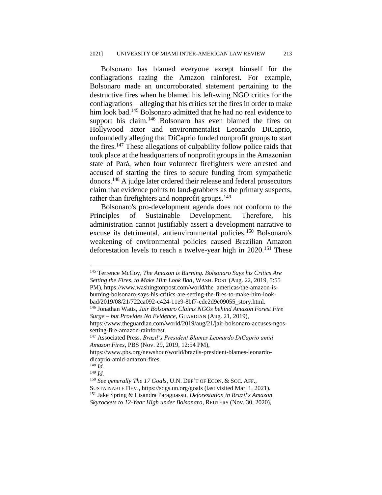Bolsonaro has blamed everyone except himself for the conflagrations razing the Amazon rainforest. For example, Bolsonaro made an uncorroborated statement pertaining to the destructive fires when he blamed his left-wing NGO critics for the conflagrations—alleging that his critics set the fires in order to make him look bad.<sup>145</sup> Bolsonaro admitted that he had no real evidence to support his claim.<sup>146</sup> Bolsonaro has even blamed the fires on Hollywood actor and environmentalist Leonardo DiCaprio, unfoundedly alleging that DiCaprio funded nonprofit groups to start the fires.<sup>147</sup> These allegations of culpability follow police raids that took place at the headquarters of nonprofit groups in the Amazonian state of Pará, when four volunteer firefighters were arrested and accused of starting the fires to secure funding from sympathetic donors.<sup>148</sup> A judge later ordered their release and federal prosecutors claim that evidence points to land-grabbers as the primary suspects, rather than firefighters and nonprofit groups.<sup>149</sup>

Bolsonaro's pro-development agenda does not conform to the Principles of Sustainable Development. Therefore, his administration cannot justifiably assert a development narrative to excuse its detrimental, antienvironmental policies.<sup>150</sup> Bolsonaro's weakening of environmental policies caused Brazilian Amazon deforestation levels to reach a twelve-year high in 2020.<sup>151</sup> These

<sup>145</sup> Terrence McCoy, *The Amazon is Burning. Bolsonaro Says his Critics Are Setting the Fires, to Make Him Look Bad*, WASH.POST (Aug. 22, 2019, 5:55 PM), https://www.washingtonpost.com/world/the\_americas/the-amazon-isburning-bolsonaro-says-his-critics-are-setting-the-fires-to-make-him-lookbad/2019/08/21/722ca092-c424-11e9-8bf7-cde2d9e09055\_story.html.

<sup>146</sup> Jonathan Watts, *Jair Bolsonaro Claims NGOs behind Amazon Forest Fire Surge – but Provides No Evidence*, GUARDIAN (Aug. 21, 2019),

https://www.theguardian.com/world/2019/aug/21/jair-bolsonaro-accuses-ngossetting-fire-amazon-rainforest.

<sup>147</sup> Associated Press*, Brazil's President Blames Leonardo DiCaprio amid Amazon Fires*, PBS (Nov. 29, 2019, 12:54 PM),

https://www.pbs.org/newshour/world/brazils-president-blames-leonardodicaprio-amid-amazon-fires.

<sup>148</sup> *Id.*

<sup>149</sup> *Id.*

<sup>150</sup> *See generally The 17 Goals*, U.N. DEP'T OF ECON. & SOC. AFF., SUSTAINABLE DEV., https://sdgs.un.org/goals (last visited Mar. 1, 2021). <sup>151</sup> Jake Spring & Lisandra Paraguassu*, Deforestation in Brazil's Amazon Skyrockets to 12-Year High under Bolsonaro*, REUTERS (Nov. 30, 2020),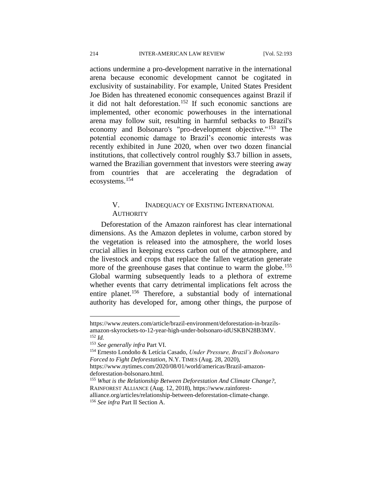actions undermine a pro-development narrative in the international arena because economic development cannot be cogitated in exclusivity of sustainability. For example, United States President Joe Biden has threatened economic consequences against Brazil if it did not halt deforestation.<sup>152</sup> If such economic sanctions are implemented, other economic powerhouses in the international arena may follow suit, resulting in harmful setbacks to Brazil's economy and Bolsonaro's "pro-development objective."<sup>153</sup> The potential economic damage to Brazil's economic interests was recently exhibited in June 2020, when over two dozen financial institutions, that collectively control roughly \$3.7 billion in assets, warned the Brazilian government that investors were steering away from countries that are accelerating the degradation of ecosystems.<sup>154</sup>

# V. INADEQUACY OF EXISTING INTERNATIONAL **AUTHORITY**

Deforestation of the Amazon rainforest has clear international dimensions. As the Amazon depletes in volume, carbon stored by the vegetation is released into the atmosphere, the world loses crucial allies in keeping excess carbon out of the atmosphere, and the livestock and crops that replace the fallen vegetation generate more of the greenhouse gases that continue to warm the globe.<sup>155</sup> Global warming subsequently leads to a plethora of extreme whether events that carry detrimental implications felt across the entire planet.<sup>156</sup> Therefore, a substantial body of international authority has developed for, among other things, the purpose of

https://www.reuters.com/article/brazil-environment/deforestation-in-brazilsamazon-skyrockets-to-12-year-high-under-bolsonaro-idUSKBN28B3MV. <sup>152</sup> *Id.*

<sup>153</sup> *See generally infra* Part VI.

<sup>154</sup> Ernesto Londoño & Letícia Casado, *Under Pressure, Brazil's Bolsonaro Forced to Fight Deforestation*, N.Y. TIMES (Aug. 28, 2020), https://www.nytimes.com/2020/08/01/world/americas/Brazil-amazondeforestation-bolsonaro.html.

<sup>155</sup> *What is the Relationship Between Deforestation And Climate Change?*,

RAINFOREST ALLIANCE (Aug. 12, 2018), https://www.rainforestalliance.org/articles/relationship-between-deforestation-climate-change.

<sup>156</sup> *See infra* Part II Section A.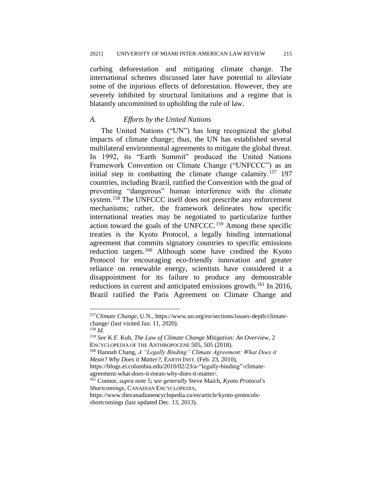curbing deforestation and mitigating climate change. The international schemes discussed later have potential to alleviate some of the injurious effects of deforestation. However, they are severely inhibited by structural limitations and a regime that is blatantly uncommitted to upholding the rule of law.

#### *A. Efforts by the United Nations*

The United Nations ("UN") has long recognized the global impacts of climate change; thus, the UN has established several multilateral environmental agreements to mitigate the global threat. In 1992, its "Earth Summit" produced the United Nations Framework Convention on Climate Change ("UNFCCC") as an initial step in combatting the climate change calamity.<sup>157</sup> 197 countries, including Brazil, ratified the Convention with the goal of preventing "dangerous" human interference with the climate system.<sup>158</sup> The UNFCCC itself does not prescribe any enforcement mechanisms; rather, the framework delineates how specific international treaties may be negotiated to particularize further action toward the goals of the UNFCCC.<sup>159</sup> Among these specific treaties is the Kyoto Protocol, a legally binding international agreement that commits signatory countries to specific emissions reduction targets.<sup>160</sup> Although some have credited the Kyoto Protocol for encouraging eco-friendly innovation and greater reliance on renewable energy, scientists have considered it a disappointment for its failure to produce any demonstrable reductions in current and anticipated emissions growth.<sup>161</sup> In 2016, Brazil ratified the Paris Agreement on Climate Change and

<sup>161</sup> Connor, *supra* note 5; *see generally* Steve Maich, *Kyoto Protocol's Shortcomings*, CANADIAN ENCYCLOPEDIA,

<sup>157</sup>*Climate Change*, U.N., https://www.un.org/en/sections/issues-depth/climatechange/ (last visited Jan. 11, 2020).

<sup>158</sup> *Id.*

<sup>159</sup> *See* K.F. Kuh, *The Law of Climate Change Mitigation: An Overview*, 2 ENCYCLOPEDIA OF THE ANTHROPOCENE 505, 505 (2018).

<sup>160</sup> Hannah Chang, *A "Legally Binding" Climate Agreement: What Does it Mean? Why Does it Matter?,* EARTH INST. (Feb. 23, 2010),

https://blogs.ei.columbia.edu/2010/02/23/a-"legally-binding"-climateagreement-what-does-it-mean-why-does-it-matter/.

https://www.thecanadianencyclopedia.ca/en/article/kyoto-protocolsshortcomings (last updated Dec. 13, 2013).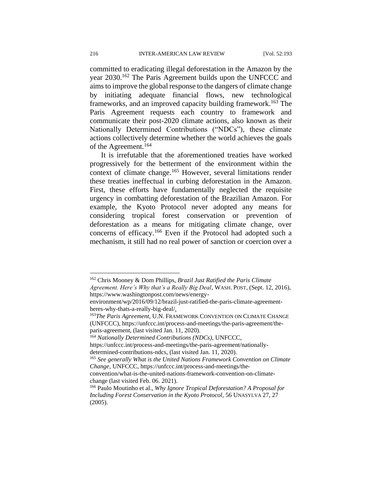committed to eradicating illegal deforestation in the Amazon by the year 2030.<sup>162</sup> The Paris Agreement builds upon the UNFCCC and aims to improve the global response to the dangers of climate change by initiating adequate financial flows, new technological frameworks, and an improved capacity building framework.<sup>163</sup> The Paris Agreement requests each country to framework and communicate their post-2020 climate actions, also known as their Nationally Determined Contributions ("NDCs"), these climate actions collectively determine whether the world achieves the goals of the Agreement.<sup>164</sup>

It is irrefutable that the aforementioned treaties have worked progressively for the betterment of the environment within the context of climate change.<sup>165</sup> However, several limitations render these treaties ineffectual in curbing deforestation in the Amazon. First, these efforts have fundamentally neglected the requisite urgency in combatting deforestation of the Brazilian Amazon. For example, the Kyoto Protocol never adopted any means for considering tropical forest conservation or prevention of deforestation as a means for mitigating climate change, over concerns of efficacy.<sup>166</sup> Even if the Protocol had adopted such a mechanism, it still had no real power of sanction or coercion over a

https://www.washingtonpost.com/news/energy-

<sup>162</sup> Chris Mooney & Dom Phillips, *Brazil Just Ratified the Paris Climate Agreement. Here's Why that's a Really Big Deal*, WASH.POST, (Sept. 12, 2016),

environment/wp/2016/09/12/brazil-just-ratified-the-paris-climate-agreementheres-why-thats-a-really-big-deal/.

<sup>&</sup>lt;sup>163</sup>The Paris Agreement, U.N. FRAMEWORK CONVENTION ON CLIMATE CHANGE (UNFCCC), https://unfccc.int/process-and-meetings/the-paris-agreement/theparis-agreement, (last visited Jan. 11, 2020).

<sup>164</sup> *Nationally Determined Contributions (NDCs)*, UNFCCC,

https://unfccc.int/process-and-meetings/the-paris-agreement/nationallydetermined-contributions-ndcs, (last visited Jan. 11, 2020).

<sup>165</sup> *See generally What is the United Nations Framework Convention on Climate Change*, UNFCCC, https://unfccc.int/process-and-meetings/the-

convention/what-is-the-united-nations-framework-convention-on-climatechange (last visited Feb. 06. 2021).

<sup>166</sup> Paulo Moutinho et al., *Why Ignore Tropical Deforestation? A Proposal for Including Forest Conservation in the Kyoto Protocol*, 56 UNASYLVA 27, 27 (2005).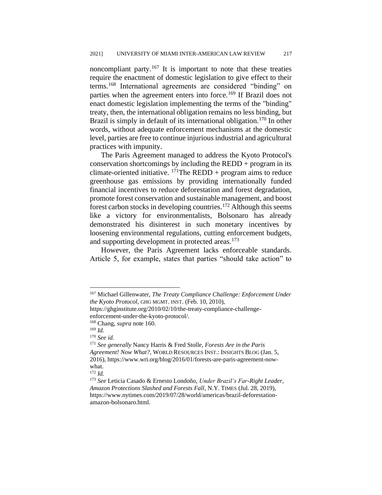noncompliant party.<sup>167</sup> It is important to note that these treaties require the enactment of domestic legislation to give effect to their terms.<sup>168</sup> International agreements are considered "binding" on parties when the agreement enters into force.<sup>169</sup> If Brazil does not enact domestic legislation implementing the terms of the "binding" treaty, then, the international obligation remains no less binding, but Brazil is simply in default of its international obligation.<sup>170</sup> In other words, without adequate enforcement mechanisms at the domestic level, parties are free to continue injurious industrial and agricultural practices with impunity.

The Paris Agreement managed to address the Kyoto Protocol's conservation shortcomings by including the  $REDD + program$  in its climate-oriented initiative.  $^{171}$ The REDD + program aims to reduce greenhouse gas emissions by providing internationally funded financial incentives to reduce deforestation and forest degradation, promote forest conservation and sustainable management, and boost forest carbon stocks in developing countries.<sup>172</sup> Although this seems like a victory for environmentalists, Bolsonaro has already demonstrated his disinterest in such monetary incentives by loosening environmental regulations, cutting enforcement budgets, and supporting development in protected areas.<sup>173</sup>

However, the Paris Agreement lacks enforceable standards. Article 5, for example, states that parties "should take action" to

<sup>167</sup> Michael Gillenwater, *The Treaty Compliance Challenge: Enforcement Under the Kyoto Protocol*, GHG MGMT. INST. (Feb. 10, 2010),

https://ghginstitute.org/2010/02/10/the-treaty-compliance-challengeenforcement-under-the-kyoto-protocol/.

<sup>168</sup> Chang, *supra* note 160.

<sup>169</sup> *Id.*

<sup>170</sup> *See id.* 

<sup>171</sup> *See generally* Nancy Harris & Fred Stolle, *Forests Are in the Paris Agreement! Now What?*, WORLD RESOURCES INST.: INSIGHTS BLOG (Jan. 5, 2016), https://www.wri.org/blog/2016/01/forests-are-paris-agreement-nowwhat.

<sup>172</sup> *Id.*

<sup>173</sup> *See* Leticia Casado & Ernesto Londoño, *Under Brazil's Far-Right Leader, Amazon Protections Slashed and Forests Fall*, N.Y. TIMES (Jul. 28, 2019), https://www.nytimes.com/2019/07/28/world/americas/brazil-deforestationamazon-bolsonaro.html.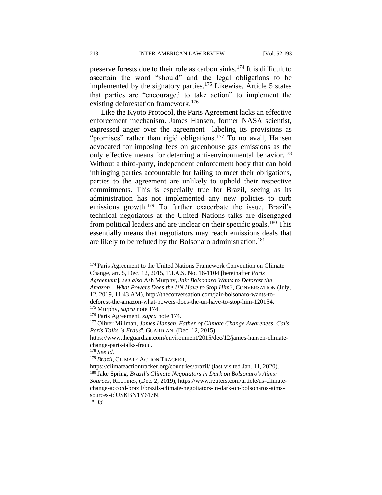preserve forests due to their role as carbon sinks.<sup>174</sup> It is difficult to ascertain the word "should" and the legal obligations to be implemented by the signatory parties.<sup>175</sup> Likewise, Article 5 states that parties are "encouraged to take action" to implement the existing deforestation framework.<sup>176</sup>

Like the Kyoto Protocol, the Paris Agreement lacks an effective enforcement mechanism. James Hansen, former NASA scientist, expressed anger over the agreement—labeling its provisions as "promises" rather than rigid obligations.<sup>177</sup> To no avail, Hansen advocated for imposing fees on greenhouse gas emissions as the only effective means for deterring anti-environmental behavior.<sup>178</sup> Without a third-party, independent enforcement body that can hold infringing parties accountable for failing to meet their obligations, parties to the agreement are unlikely to uphold their respective commitments. This is especially true for Brazil, seeing as its administration has not implemented any new policies to curb emissions growth.<sup>179</sup> To further exacerbate the issue, Brazil's technical negotiators at the United Nations talks are disengaged from political leaders and are unclear on their specific goals.<sup>180</sup> This essentially means that negotiators may reach emissions deals that are likely to be refuted by the Bolsonaro administration.<sup>181</sup>

*Agreement*]; *see also* Ash Murphy, *Jair Bolsonaro Wants to Deforest the* 

<sup>&</sup>lt;sup>174</sup> Paris Agreement to the United Nations Framework Convention on Climate Change, art. 5, Dec. 12, 2015, T.I.A.S. No. 16-1104 [hereinafter *Paris* 

*Amazon – What Powers Does the UN Have to Stop Him?*, CONVERSATION (July, 12, 2019, 11:43 AM), http://theconversation.com/jair-bolsonaro-wants-to-

deforest-the-amazon-what-powers-does-the-un-have-to-stop-him-120154. <sup>175</sup> Murphy, *supra* note 174.

<sup>176</sup> Paris Agreement, *supra* note 174.

<sup>177</sup> Oliver Millman, *James Hansen, Father of Climate Change Awareness, Calls Paris Talks 'a Fraud*', GUARDIAN, (Dec. 12, 2015),

https://www.theguardian.com/environment/2015/dec/12/james-hansen-climatechange-paris-talks-fraud.

<sup>178</sup> *See id.*

<sup>179</sup> *Brazil*, CLIMATE ACTION TRACKER,

https://climateactiontracker.org/countries/brazil/ (last visited Jan. 11, 2020). <sup>180</sup> Jake Spring, *Brazil's Climate Negotiators in Dark on Bolsonaro's Aims: Sources*, REUTERS, (Dec. 2, 2019), https://www.reuters.com/article/us-climatechange-accord-brazil/brazils-climate-negotiators-in-dark-on-bolsonaros-aimssources-idUSKBN1Y617N.

<sup>181</sup> *Id.*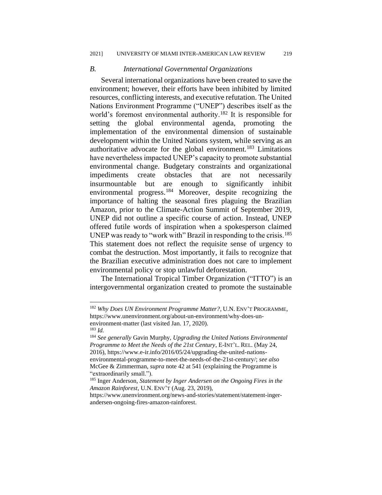#### *B. International Governmental Organizations*

Several international organizations have been created to save the environment; however, their efforts have been inhibited by limited resources, conflicting interests, and executive refutation. The United Nations Environment Programme ("UNEP") describes itself as the world's foremost environmental authority.<sup>182</sup> It is responsible for setting the global environmental agenda, promoting the implementation of the environmental dimension of sustainable development within the United Nations system, while serving as an authoritative advocate for the global environment.<sup>183</sup> Limitations have nevertheless impacted UNEP's capacity to promote substantial environmental change. Budgetary constraints and organizational impediments create obstacles that are not necessarily insurmountable but are enough to significantly inhibit environmental progress.<sup>184</sup> Moreover, despite recognizing the importance of halting the seasonal fires plaguing the Brazilian Amazon, prior to the Climate-Action Summit of September 2019, UNEP did not outline a specific course of action. Instead, UNEP offered futile words of inspiration when a spokesperson claimed UNEP was ready to "work with" Brazil in responding to the crisis.<sup>185</sup> This statement does not reflect the requisite sense of urgency to combat the destruction. Most importantly, it fails to recognize that the Brazilian executive administration does not care to implement environmental policy or stop unlawful deforestation.

The International Tropical Timber Organization ("ITTO") is an intergovernmental organization created to promote the sustainable

<sup>182</sup> *Why Does UN Environment Programme Matter?*, U.N. ENV'T PROGRAMME, https://www.unenvironment.org/about-un-environment/why-does-unenvironment-matter (last visited Jan. 17, 2020).

<sup>183</sup> *Id.*

<sup>184</sup> *See generally* Gavin Murphy, *Upgrading the United Nations Environmental Programme to Meet the Needs of the 21st Century*, E-INT'L. REL. (May 24, 2016), [https://www.e-ir.info/2016/05/24/upgrading-the-united-nations](https://www.e-ir.info/2016/05/24/upgrading-the-united-nations-environmental-programme-to-meet-the-needs-of-the-21st-century/)[environmental-programme-to-meet-the-needs-of-the-21st-century/;](https://www.e-ir.info/2016/05/24/upgrading-the-united-nations-environmental-programme-to-meet-the-needs-of-the-21st-century/) *see also* McGee & Zimmerman, *supra* note 42 at 541 (explaining the Programme is "extraordinarily small.").

<sup>185</sup> Inger Anderson, *Statement by Inger Andersen on the Ongoing Fires in the Amazon Rainforest*, U.N. ENV'T (Aug. 23, 2019),

https://www.unenvironment.org/news-and-stories/statement/statement-ingerandersen-ongoing-fires-amazon-rainforest.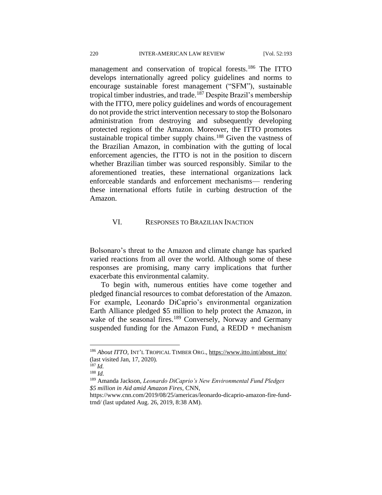management and conservation of tropical forests.<sup>186</sup> The ITTO develops internationally agreed policy guidelines and norms to encourage sustainable forest management ("SFM"), sustainable tropical timber industries, and trade.<sup>187</sup> Despite Brazil's membership with the ITTO, mere policy guidelines and words of encouragement do not provide the strict intervention necessary to stop the Bolsonaro administration from destroying and subsequently developing protected regions of the Amazon. Moreover, the ITTO promotes sustainable tropical timber supply chains.<sup>188</sup> Given the vastness of the Brazilian Amazon, in combination with the gutting of local enforcement agencies, the ITTO is not in the position to discern whether Brazilian timber was sourced responsibly. Similar to the aforementioned treaties, these international organizations lack enforceable standards and enforcement mechanisms— rendering these international efforts futile in curbing destruction of the Amazon.

# VI. RESPONSES TO BRAZILIAN INACTION

Bolsonaro's threat to the Amazon and climate change has sparked varied reactions from all over the world. Although some of these responses are promising, many carry implications that further exacerbate this environmental calamity.

To begin with, numerous entities have come together and pledged financial resources to combat deforestation of the Amazon. For example, Leonardo DiCaprio's environmental organization Earth Alliance pledged \$5 million to help protect the Amazon, in wake of the seasonal fires.<sup>189</sup> Conversely, Norway and Germany suspended funding for the Amazon Fund, a REDD  $+$  mechanism

<sup>186</sup> About ITTO, INT'L TROPICAL TIMBER ORG., [https://www.itto.int/about\\_itto/](https://www.itto.int/about_itto/) (last visited Jan, 17, 2020).

<sup>187</sup> *Id.*

<sup>188</sup> *Id.*

<sup>189</sup> Amanda Jackson, *Leonardo DiCaprio's New Environmental Fund Pledges \$5 million in Aid amid Amazon Fires,* CNN,

https://www.cnn.com/2019/08/25/americas/leonardo-dicaprio-amazon-fire-fundtrnd/ (last updated Aug. 26, 2019, 8:38 AM).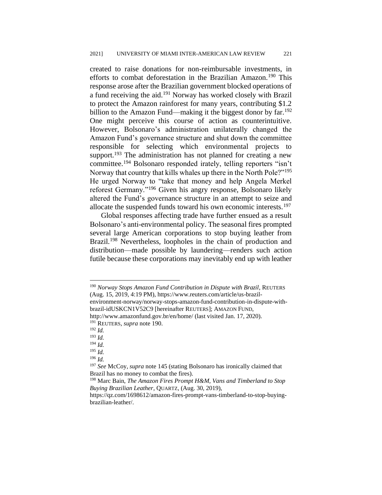created to raise donations for non-reimbursable investments, in efforts to combat deforestation in the Brazilian Amazon.<sup>190</sup> This response arose after the Brazilian government blocked operations of a fund receiving the aid.<sup>191</sup> Norway has worked closely with Brazil to protect the Amazon rainforest for many years, contributing \$1.2 billion to the Amazon Fund—making it the biggest donor by  $far.^{192}$ One might perceive this course of action as counterintuitive. However, Bolsonaro's administration unilaterally changed the Amazon Fund's governance structure and shut down the committee responsible for selecting which environmental projects to support.<sup>193</sup> The administration has not planned for creating a new committee.<sup>194</sup> Bolsonaro responded irately, telling reporters "isn't Norway that country that kills whales up there in the North Pole?"<sup>195</sup> He urged Norway to "take that money and help Angela Merkel reforest Germany."<sup>196</sup> Given his angry response, Bolsonaro likely altered the Fund's governance structure in an attempt to seize and allocate the suspended funds toward his own economic interests.<sup>197</sup>

Global responses affecting trade have further ensued as a result Bolsonaro's anti-environmental policy. The seasonal fires prompted several large American corporations to stop buying leather from Brazil.<sup>198</sup> Nevertheless, loopholes in the chain of production and distribution—made possible by laundering—renders such action futile because these corporations may inevitably end up with leather

brazil-idUSKCN1V52C9 [hereinafter REUTERS]; AMAZON FUND,

<sup>194</sup> *Id.*

<sup>190</sup> *Norway Stops Amazon Fund Contribution in Dispute with Brazil*, REUTERS (Aug. 15, 2019, 4:19 PM), https://www.reuters.com/article/us-brazilenvironment-norway/norway-stops-amazon-fund-contribution-in-dispute-with-

http://www.amazonfund.gov.br/en/home/ (last visited Jan. 17, 2020).

<sup>191</sup> REUTERS, *supra* note 190.

<sup>192</sup> *Id.*

<sup>193</sup> *Id.*

<sup>195</sup> *Id.*

<sup>196</sup> *Id.*

<sup>197</sup> *See* McCoy, *supra* note 145 (stating Bolsonaro has ironically claimed that Brazil has no money to combat the fires).

<sup>198</sup> Marc Bain, *The Amazon Fires Prompt H&M, Vans and Timberland to Stop Buying Brazilian Leather*, QUARTZ, (Aug. 30, 2019),

https://qz.com/1698612/amazon-fires-prompt-vans-timberland-to-stop-buyingbrazilian-leather/.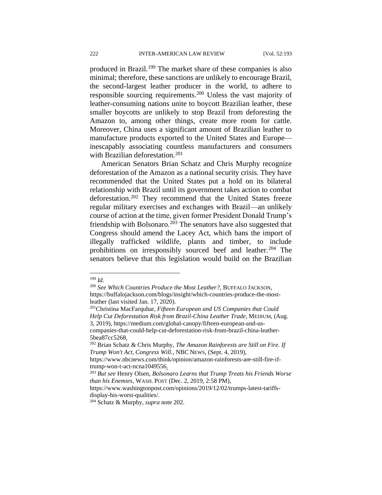produced in Brazil.<sup>199</sup> The market share of these companies is also minimal; therefore, these sanctions are unlikely to encourage Brazil, the second-largest leather producer in the world, to adhere to responsible sourcing requirements.<sup>200</sup> Unless the vast majority of leather-consuming nations unite to boycott Brazilian leather, these smaller boycotts are unlikely to stop Brazil from deforesting the Amazon to, among other things, create more room for cattle. Moreover, China uses a significant amount of Brazilian leather to manufacture products exported to the United States and Europe inescapably associating countless manufacturers and consumers with Brazilian deforestation.<sup>201</sup>

American Senators Brian Schatz and Chris Murphy recognize deforestation of the Amazon as a national security crisis. They have recommended that the United States put a hold on its bilateral relationship with Brazil until its government takes action to combat deforestation.<sup>202</sup> They recommend that the United States freeze regular military exercises and exchanges with Brazil—an unlikely course of action at the time, given former President Donald Trump's friendship with Bolsonaro.<sup>203</sup> The senators have also suggested that Congress should amend the Lacey Act, which bans the import of illegally trafficked wildlife, plants and timber, to include prohibitions on irresponsibly sourced beef and leather.<sup>204</sup> The senators believe that this legislation would build on the Brazilian

<sup>199</sup> *Id.*

<sup>200</sup> *See Which Countries Produce the Most Leather?,* BUFFALO JACKSON, https://buffalojackson.com/blogs/insight/which-countries-produce-the-mostleather (last visited Jan. 17, 2020).

<sup>201</sup>Christina MacFarquhar, *Fifteen European and US Companies that Could Help Cut Deforestation Risk from Brazil-China Leather Trade*, MEDIUM, (Aug. 3, 2019), https://medium.com/global-canopy/fifteen-european-and-uscompanies-that-could-help-cut-deforestation-risk-from-brazil-china-leather-5bea87cc5268.

<sup>202</sup> Brian Schatz & Chris Murphy, *The Amazon Rainforests are Still on Fire. If Trump Won't Act, Congress Will.*, NBC NEWS, (Sept. 4, 2019),

https://www.nbcnews.com/think/opinion/amazon-rainforests-are-still-fire-iftrump-won-t-act-ncna1049556.

<sup>203</sup> *But see* Henry Olsen*, Bolsonaro Learns that Trump Treats his Friends Worse than his Enemies*, WASH.POST (Dec. 2, 2019, 2:58 PM),

https://www.washingtonpost.com/opinions/2019/12/02/trumps-latest-tariffsdisplay-his-worst-qualities/.

<sup>204</sup> Schatz & Murphy, *supra* note 202.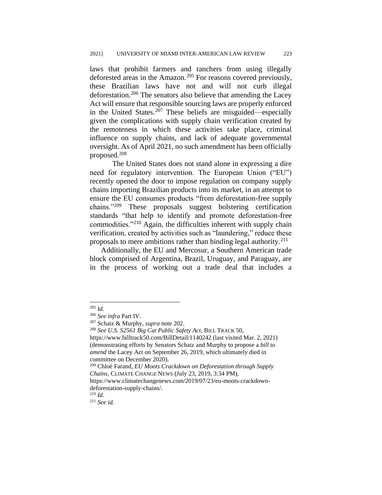laws that prohibit farmers and ranchers from using illegally deforested areas in the Amazon.<sup>205</sup> For reasons covered previously, these Brazilian laws have not and will not curb illegal deforestation.<sup>206</sup> The senators also believe that amending the Lacey Act will ensure that responsible sourcing laws are properly enforced in the United States.<sup>207</sup> These beliefs are misguided—especially given the complications with supply chain verification created by the remoteness in which these activities take place, criminal influence on supply chains, and lack of adequate governmental oversight. As of April 2021, no such amendment has been officially proposed.<sup>208</sup>

The United States does not stand alone in expressing a dire need for regulatory intervention. The European Union ("EU") recently opened the door to impose regulation on company supply chains importing Brazilian products into its market, in an attempt to ensure the EU consumes products "from deforestation-free supply chains."<sup>209</sup> These proposals suggest bolstering certification standards "that help to identify and promote deforestation-free commodities."<sup>210</sup> Again, the difficulties inherent with supply chain verification, created by activities such as "laundering," reduce these proposals to mere ambitions rather than binding legal authority.<sup>211</sup>

Additionally, the EU and Mercosur, a Southern American trade block comprised of Argentina, Brazil, Uruguay, and Paraguay, are in the process of working out a trade deal that includes a

<sup>205</sup> *Id.*

<sup>206</sup> *See infra* Part IV.

<sup>207</sup> Schatz & Murphy, *supra* note 202.

<sup>208</sup> *See U.S. S2561 Big Cat Public Safety Act*, BILL TRACK 50,

https://www.billtrack50.com/BillDetail/1140242 (last visited Mar. 2, 2021) (demonstrating efforts by Senators Schatz and Murphy to propose a *bill to amend* the Lacey Act on September 26, 2019, which ultimately died in committee on December 2020).

<sup>209</sup> Chloé Farand, *EU Moots Crackdown on Deforestation through Supply Chains*, CLIMATE CHANGE NEWS (July 23, 2019, 3:34 PM),

https://www.climatechangenews.com/2019/07/23/eu-moots-crackdowndeforestation-supply-chains/.

<sup>210</sup> *Id.*

<sup>211</sup> *See id.*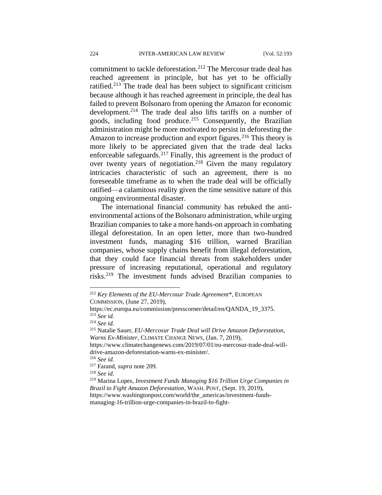commitment to tackle deforestation.<sup>212</sup> The Mercosur trade deal has reached agreement in principle, but has yet to be officially ratified.<sup>213</sup> The trade deal has been subject to significant criticism because although it has reached agreement in principle, the deal has failed to prevent Bolsonaro from opening the Amazon for economic development.<sup>214</sup> The trade deal also lifts tariffs on a number of goods, including food produce.<sup>215</sup> Consequently, the Brazilian administration might be more motivated to persist in deforesting the Amazon to increase production and export figures.<sup>216</sup> This theory is more likely to be appreciated given that the trade deal lacks enforceable safeguards.<sup>217</sup> Finally, this agreement is the product of over twenty years of negotiation.<sup>218</sup> Given the many regulatory intricacies characteristic of such an agreement, there is no foreseeable timeframe as to when the trade deal will be officially ratified—a calamitous reality given the time sensitive nature of this ongoing environmental disaster.

The international financial community has rebuked the antienvironmental actions of the Bolsonaro administration, while urging Brazilian companies to take a more hands-on approach in combating illegal deforestation. In an open letter, more than two-hundred investment funds, managing \$16 trillion, warned Brazilian companies, whose supply chains benefit from illegal deforestation, that they could face financial threats from stakeholders under pressure of increasing reputational, operational and regulatory risks.<sup>219</sup> The investment funds advised Brazilian companies to

<sup>212</sup> *Key Elements of the EU-Mercosur Trade Agreement\**, EUROPEAN COMMISSION, (June 27, 2019),

https://ec.europa.eu/commission/presscorner/detail/en/QANDA\_19\_3375. <sup>213</sup> *See id.*

<sup>214</sup> *See id.* 

<sup>215</sup> Natalie Sauer, *EU-Mercosur Trade Deal will Drive Amazon Deforestation, Warns Ex-Minister*, CLIMATE CHANGE NEWS, (Jan. 7, 2019),

https://www.climatechangenews.com/2019/07/01/eu-mercosur-trade-deal-willdrive-amazon-deforestation-warns-ex-minister/.

<sup>216</sup> *See id.*

<sup>217</sup> Farand, *supra* note 209.

<sup>218</sup> *See id.*

<sup>219</sup> Marina Lopes, *Investment Funds Managing \$16 Trillion Urge Companies in Brazil to Fight Amazon Deforestation*, WASH.POST, (Sept. 19, 2019), https://www.washingtonpost.com/world/the\_americas/investment-funds-

managing-16-trillion-urge-companies-in-brazil-to-fight-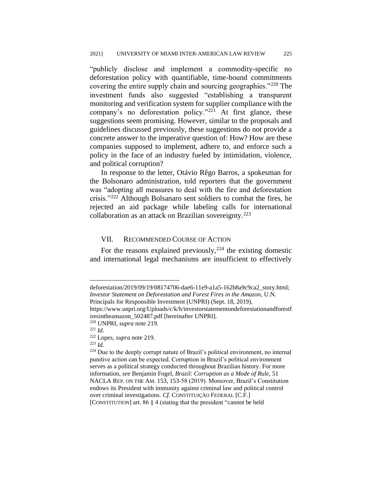"publicly disclose and implement a commodity-specific no deforestation policy with quantifiable, time-bound commitments covering the entire supply chain and sourcing geographies."<sup>220</sup> The investment funds also suggested "establishing a transparent monitoring and verification system for supplier compliance with the company's no deforestation policy."<sup>221</sup> At first glance, these suggestions seem promising. However, similar to the proposals and guidelines discussed previously, these suggestions do not provide a concrete answer to the imperative question of: How? How are these companies supposed to implement, adhere to, and enforce such a policy in the face of an industry fueled by intimidation, violence, and political corruption?

In response to the letter, Otávio Rêgo Barros, a spokesman for the Bolsonaro administration, told reporters that the government was "adopting all measures to deal with the fire and deforestation crisis."<sup>222</sup> Although Bolsanaro sent soldiers to combat the fires, he rejected an aid package while labeling calls for international collaboration as an attack on Brazilian sovereignty.<sup>223</sup>

#### VII. RECOMMENDED COURSE OF ACTION

For the reasons explained previously,  $224$  the existing domestic and international legal mechanisms are insufficient to effectively

<sup>223</sup> *Id.* 

deforestation/2019/09/19/08174706-dae6-11e9-a1a5-162b8a9c9ca2\_story.html; *Investor Statement on Deforestation and Forest Fires in the Amazon*, U.N. Principals for Responsible Investment (UNPRI) (Sept. 18, 2019),

https://www.unpri.org/Uploads/c/k/h/investorstatementondeforestationandforestf iresintheamazon\_502487.pdf [hereinafter UNPRI].

<sup>220</sup> UNPRI, *supra* note 219.

<sup>221</sup> *Id.* 

<sup>222</sup> Lopes, *supra* note 219.

<sup>224</sup> Due to the deeply corrupt nature of Brazil's political environment, no internal punitive action can be expected. Corruption in Brazil's political environment serves as a political strategy conducted throughout Brazilian history. For more information, *see* Benjamin Fogel, *Brazil: Corruption as a Mode of Rule*, 51 NACLA REP. ON THE AM. 153, 153-58 (2019). Moreover, Brazil's Constitution endows its President with immunity against criminal law and political control over criminal investigations. *Cf.* CONSTITUIÇÃO FEDERAL [C.F.] [CONSTITUTION] art. 86 § 4 (stating that the president "cannot be held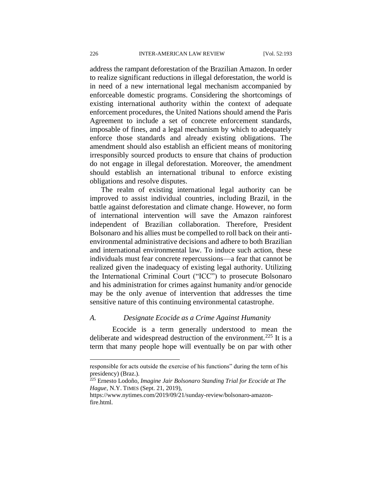address the rampant deforestation of the Brazilian Amazon. In order to realize significant reductions in illegal deforestation, the world is in need of a new international legal mechanism accompanied by enforceable domestic programs. Considering the shortcomings of existing international authority within the context of adequate enforcement procedures, the United Nations should amend the Paris Agreement to include a set of concrete enforcement standards, imposable of fines, and a legal mechanism by which to adequately enforce those standards and already existing obligations. The amendment should also establish an efficient means of monitoring irresponsibly sourced products to ensure that chains of production do not engage in illegal deforestation. Moreover, the amendment should establish an international tribunal to enforce existing obligations and resolve disputes.

The realm of existing international legal authority can be improved to assist individual countries, including Brazil, in the battle against deforestation and climate change. However, no form of international intervention will save the Amazon rainforest independent of Brazilian collaboration. Therefore, President Bolsonaro and his allies must be compelled to roll back on their antienvironmental administrative decisions and adhere to both Brazilian and international environmental law. To induce such action, these individuals must fear concrete repercussions—a fear that cannot be realized given the inadequacy of existing legal authority. Utilizing the International Criminal Court ("ICC") to prosecute Bolsonaro and his administration for crimes against humanity and/or genocide may be the only avenue of intervention that addresses the time sensitive nature of this continuing environmental catastrophe.

#### *A. Designate Ecocide as a Crime Against Humanity*

Ecocide is a term generally understood to mean the deliberate and widespread destruction of the environment.<sup>225</sup> It is a term that many people hope will eventually be on par with other

responsible for acts outside the exercise of his functions" during the term of his presidency) (Braz.).

<sup>225</sup> Ernesto Lodoño*, Imagine Jair Bolsonaro Standing Trial for Ecocide at The Hague*, N.Y. TIMES (Sept. 21, 2019),

https://www.nytimes.com/2019/09/21/sunday-review/bolsonaro-amazonfire.html.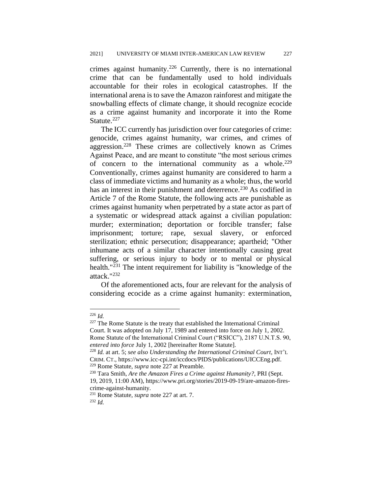crimes against humanity.<sup>226</sup> Currently, there is no international crime that can be fundamentally used to hold individuals accountable for their roles in ecological catastrophes. If the international arena is to save the Amazon rainforest and mitigate the snowballing effects of climate change, it should recognize ecocide as a crime against humanity and incorporate it into the Rome Statute.<sup>227</sup>

The ICC currently has jurisdiction over four categories of crime: genocide, crimes against humanity, war crimes, and crimes of aggression.<sup>228</sup> These crimes are collectively known as Crimes Against Peace, and are meant to constitute "the most serious crimes of concern to the international community as a whole.<sup>229</sup> Conventionally, crimes against humanity are considered to harm a class of immediate victims and humanity as a whole; thus, the world has an interest in their punishment and deterrence.<sup>230</sup> As codified in Article 7 of the Rome Statute, the following acts are punishable as crimes against humanity when perpetrated by a state actor as part of a systematic or widespread attack against a civilian population: murder; extermination; deportation or forcible transfer; false imprisonment; torture; rape, sexual slavery, or enforced sterilization; ethnic persecution; disappearance; apartheid; "Other inhumane acts of a similar character intentionally causing great suffering, or serious injury to body or to mental or physical health." $231$  The intent requirement for liability is "knowledge of the attack."<sup>232</sup>

Of the aforementioned acts, four are relevant for the analysis of considering ecocide as a crime against humanity: extermination,

 $^{226}$  *Id.* 

<sup>&</sup>lt;sup>227</sup> The Rome Statute is the treaty that established the International Criminal Court. It was adopted on July 17, 1989 and entered into force on July 1, 2002. Rome Statute of the International Criminal Court ("RSICC"), 2187 U.N.T.S. 90, *entered into force* July 1, 2002 [hereinafter Rome Statute].

<sup>228</sup> *Id.* at art. 5; *see also Understanding the International Criminal Court*, INT'L CRIM. CT., https://www.icc-cpi.int/iccdocs/PIDS/publications/UICCEng.pdf. <sup>229</sup> Rome Statute, *supra* note 227 at Preamble.

<sup>230</sup> Tara Smith, *Are the Amazon Fires a Crime against Humanity?*, PRI (Sept. 19, 2019, 11:00 AM), https://www.pri.org/stories/2019-09-19/are-amazon-firescrime-against-humanity.

<sup>231</sup> Rome Statute, *supra* note 227 at art. 7.

<sup>232</sup> *Id.*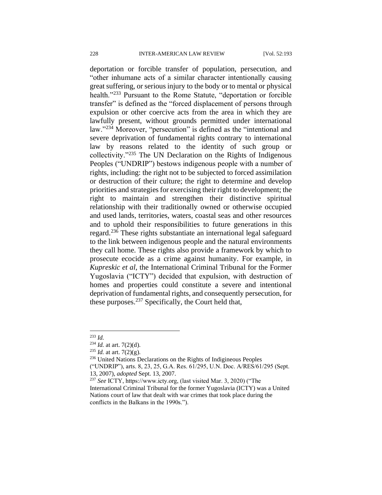deportation or forcible transfer of population, persecution, and "other inhumane acts of a similar character intentionally causing great suffering, or serious injury to the body or to mental or physical health."<sup>233</sup> Pursuant to the Rome Statute, "deportation or forcible transfer" is defined as the "forced displacement of persons through expulsion or other coercive acts from the area in which they are lawfully present, without grounds permitted under international law."<sup>234</sup> Moreover, "persecution" is defined as the "intentional and severe deprivation of fundamental rights contrary to international law by reasons related to the identity of such group or collectivity."<sup>235</sup> The UN Declaration on the Rights of Indigenous Peoples ("UNDRIP") bestows indigenous people with a number of rights, including: the right not to be subjected to forced assimilation or destruction of their culture; the right to determine and develop priorities and strategies for exercising their right to development; the right to maintain and strengthen their distinctive spiritual relationship with their traditionally owned or otherwise occupied and used lands, territories, waters, coastal seas and other resources and to uphold their responsibilities to future generations in this regard.<sup>236</sup> These rights substantiate an international legal safeguard to the link between indigenous people and the natural environments they call home. These rights also provide a framework by which to prosecute ecocide as a crime against humanity. For example, in *Kupreskic et al*, the International Criminal Tribunal for the Former Yugoslavia ("ICTY") decided that expulsion, with destruction of homes and properties could constitute a severe and intentional deprivation of fundamental rights, and consequently persecution, for these purposes.<sup>237</sup> Specifically, the Court held that,

<sup>233</sup> *Id.*

<sup>234</sup> *Id.* at art. 7(2)(d).

<sup>235</sup> *Id.* at art. 7(2)(g).

<sup>&</sup>lt;sup>236</sup> United Nations Declarations on the Rights of Indigineous Peoples

<sup>(&</sup>quot;UNDRIP"), arts. 8, 23, 25, G.A. Res. 61/295, U.N. Doc. A/RES/61/295 (Sept. 13, 2007), *adopted* Sept. 13, 2007.

<sup>237</sup> *See* ICTY, https://www.icty.org, (last visited Mar. 3, 2020) ("The International Criminal Tribunal for the former Yugoslavia (ICTY) was a United Nations court of law that dealt with war crimes that took place during the conflicts in the Balkans in the 1990s.").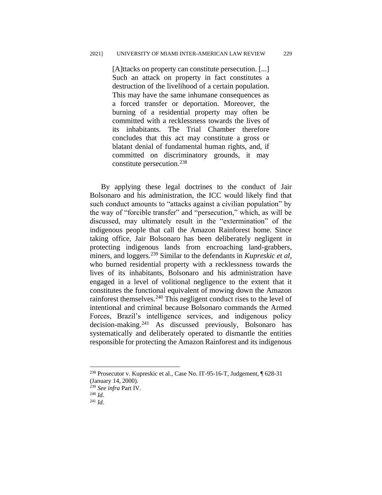[A]ttacks on property can constitute persecution. [...] Such an attack on property in fact constitutes a destruction of the livelihood of a certain population. This may have the same inhumane consequences as a forced transfer or deportation. Moreover, the burning of a residential property may often be committed with a recklessness towards the lives of its inhabitants. The Trial Chamber therefore concludes that this act may constitute a gross or blatant denial of fundamental human rights, and, if committed on discriminatory grounds, it may constitute persecution.<sup>238</sup>

By applying these legal doctrines to the conduct of Jair Bolsonaro and his administration, the ICC would likely find that such conduct amounts to "attacks against a civilian population" by the way of "forcible transfer" and "persecution," which, as will be discussed, may ultimately result in the "extermination" of the indigenous people that call the Amazon Rainforest home. Since taking office, Jair Bolsonaro has been deliberately negligent in protecting indigenous lands from encroaching land-grabbers, miners, and loggers.<sup>239</sup> Similar to the defendants in *Kupreskic et al*, who burned residential property with a recklessness towards the lives of its inhabitants, Bolsonaro and his administration have engaged in a level of volitional negligence to the extent that it constitutes the functional equivalent of mowing down the Amazon rainforest themselves.<sup>240</sup> This negligent conduct rises to the level of intentional and criminal because Bolsonaro commands the Armed Forces, Brazil's intelligence services, and indigenous policy decision-making.<sup>241</sup> As discussed previously, Bolsonaro has systematically and deliberately operated to dismantle the entities responsible for protecting the Amazon Rainforest and its indigenous

<sup>238</sup> Prosecutor v. Kupreskic et al., Case No. IT-95-16-T, Judgement, ¶ 628-31 (January 14, 2000).

<sup>239</sup> *See infra* Part IV.

<sup>240</sup> *Id.*

<sup>241</sup> *Id.*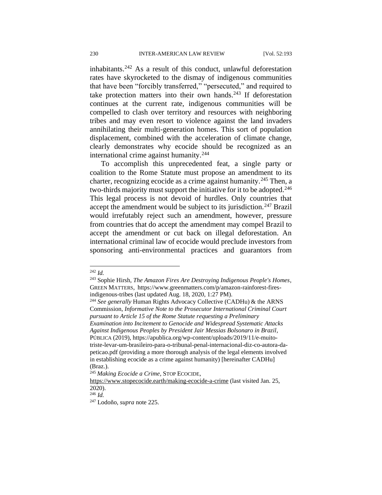inhabitants. $242$  As a result of this conduct, unlawful deforestation rates have skyrocketed to the dismay of indigenous communities that have been "forcibly transferred," "persecuted," and required to take protection matters into their own hands.<sup>243</sup> If deforestation continues at the current rate, indigenous communities will be compelled to clash over territory and resources with neighboring tribes and may even resort to violence against the land invaders annihilating their multi-generation homes. This sort of population displacement, combined with the acceleration of climate change, clearly demonstrates why ecocide should be recognized as an international crime against humanity.<sup>244</sup>

To accomplish this unprecedented feat, a single party or coalition to the Rome Statute must propose an amendment to its charter, recognizing ecocide as a crime against humanity.<sup>245</sup> Then, a two-thirds majority must support the initiative for it to be adopted.<sup>246</sup> This legal process is not devoid of hurdles. Only countries that accept the amendment would be subject to its jurisdiction.<sup>247</sup> Brazil would irrefutably reject such an amendment, however, pressure from countries that do accept the amendment may compel Brazil to accept the amendment or cut back on illegal deforestation. An international criminal law of ecocide would preclude investors from sponsoring anti-environmental practices and guarantors from

<sup>244</sup> *See generally* Human Rights Advocacy Collective (CADHu) & the ARNS Commission, *Informative Note to the Prosecutor International Criminal Court pursuant to Article 15 of the Rome Statute requesting a Preliminary Examination into Incitement to Genocide and Widespread Systematic Attacks Against Indigenous Peoples by President Jair Messias Bolsonaro in Brazil*, PÚBLICA (2019), https://apublica.org/wp-content/uploads/2019/11/e-muitotriste-levar-um-brasileiro-para-o-tribunal-penal-internacional-diz-co-autora-dapeticao.pdf (providing a more thorough analysis of the legal elements involved in establishing ecocide as a crime against humanity) [hereinafter CADHu] (Braz.).

<sup>242</sup> *Id.*

<sup>243</sup> Sophie Hirsh, *The Amazon Fires Are Destroying Indigenous People's Homes*, GREEN MATTERS, https://www.greenmatters.com/p/amazon-rainforest-firesindigenous-tribes (last updated Aug. 18, 2020, 1:27 PM).

<sup>245</sup> *Making Ecocide a Crime*, STOP ECOCIDE,

https://www.stopecocide.earth/making-ecocide-a-crime (last visited Jan. 25, 2020).

 $^{246}$  *Id.* 

<sup>247</sup> Lodoño, *supra* note 225.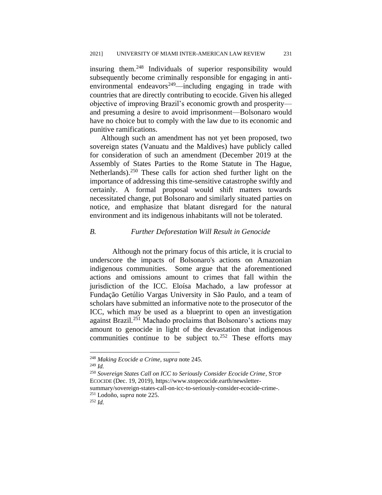insuring them.<sup>248</sup> Individuals of superior responsibility would subsequently become criminally responsible for engaging in antienvironmental endeavors<sup>249</sup>—including engaging in trade with countries that are directly contributing to ecocide. Given his alleged objective of improving Brazil's economic growth and prosperity and presuming a desire to avoid imprisonment—Bolsonaro would have no choice but to comply with the law due to its economic and punitive ramifications.

Although such an amendment has not yet been proposed, two sovereign states (Vanuatu and the Maldives) have publicly called for consideration of such an amendment (December 2019 at the Assembly of States Parties to the Rome Statute in The Hague, Netherlands).<sup>250</sup> These calls for action shed further light on the importance of addressing this time-sensitive catastrophe swiftly and certainly. A formal proposal would shift matters towards necessitated change, put Bolsonaro and similarly situated parties on notice, and emphasize that blatant disregard for the natural environment and its indigenous inhabitants will not be tolerated.

# *B. Further Deforestation Will Result in Genocide*

Although not the primary focus of this article, it is crucial to underscore the impacts of Bolsonaro's actions on Amazonian indigenous communities. Some argue that the aforementioned actions and omissions amount to crimes that fall within the jurisdiction of the ICC. Eloísa Machado, a law professor at Fundação Getúlio Vargas University in São Paulo, and a team of scholars have submitted an informative note to the prosecutor of the ICC, which may be used as a blueprint to open an investigation against Brazil.<sup>251</sup> Machado proclaims that Bolsonaro's actions may amount to genocide in light of the devastation that indigenous communities continue to be subject to.<sup>252</sup> These efforts may

<sup>249</sup> *Id.*

<sup>250</sup> *Sovereign States Call on ICC to Seriously Consider Ecocide Crime*, STOP ECOCIDE (Dec. 19, 2019), https://www.stopecocide.earth/newsletter-

summary/sovereign-states-call-on-icc-to-seriously-consider-ecocide-crime-. <sup>251</sup> Lodoño, *supra* note 225.

<sup>252</sup> *Id.* 

<sup>248</sup> *Making Ecocide a Crime, supra* note 245.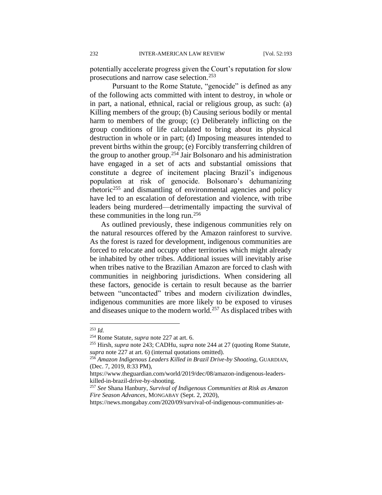potentially accelerate progress given the Court's reputation for slow prosecutions and narrow case selection.<sup>253</sup>

Pursuant to the Rome Statute, "genocide" is defined as any of the following acts committed with intent to destroy, in whole or in part, a national, ethnical, racial or religious group, as such: (a) Killing members of the group; (b) Causing serious bodily or mental harm to members of the group; (c) Deliberately inflicting on the group conditions of life calculated to bring about its physical destruction in whole or in part; (d) Imposing measures intended to prevent births within the group; (e) Forcibly transferring children of the group to another group.<sup>254</sup> Jair Bolsonaro and his administration have engaged in a set of acts and substantial omissions that constitute a degree of incitement placing Brazil's indigenous population at risk of genocide. Bolsonaro's dehumanizing rhetoric<sup>255</sup> and dismantling of environmental agencies and policy have led to an escalation of deforestation and violence, with tribe leaders being murdered—detrimentally impacting the survival of these communities in the long run.<sup>256</sup>

As outlined previously, these indigenous communities rely on the natural resources offered by the Amazon rainforest to survive. As the forest is razed for development, indigenous communities are forced to relocate and occupy other territories which might already be inhabited by other tribes. Additional issues will inevitably arise when tribes native to the Brazilian Amazon are forced to clash with communities in neighboring jurisdictions. When considering all these factors, genocide is certain to result because as the barrier between "uncontacted" tribes and modern civilization dwindles, indigenous communities are more likely to be exposed to viruses and diseases unique to the modern world.<sup>257</sup> As displaced tribes with

https://news.mongabay.com/2020/09/survival-of-indigenous-communities-at-

<sup>253</sup> *Id.*

<sup>254</sup> Rome Statute, *supra* note 227 at art. 6.

<sup>255</sup> Hirsh, *supra* note 243; CADHu, *supra* note 244 at 27 (quoting Rome Statute, *supra* note 227 at art. 6) (internal quotations omitted).

<sup>256</sup> *Amazon Indigenous Leaders Killed in Brazil Drive-by Shooting*, GUARDIAN, (Dec. 7, 2019, 8:33 PM),

https://www.theguardian.com/world/2019/dec/08/amazon-indigenous-leaderskilled-in-brazil-drive-by-shooting.

<sup>257</sup> *See* Shana Hanbury, *Survival of Indigenous Communities at Risk as Amazon Fire Season Advances*, MONGABAY (Sept. 2, 2020),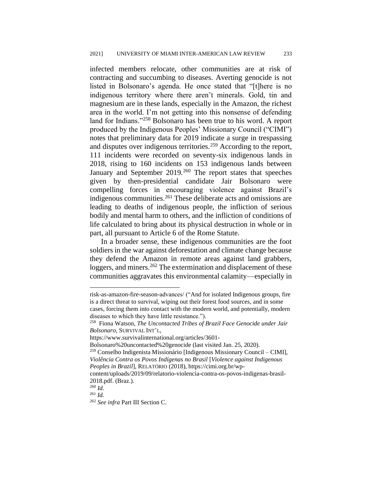infected members relocate, other communities are at risk of contracting and succumbing to diseases. Averting genocide is not listed in Bolsonaro's agenda. He once stated that "[t]here is no indigenous territory where there aren't minerals. Gold, tin and magnesium are in these lands, especially in the Amazon, the richest area in the world. I'm not getting into this nonsense of defending land for Indians."<sup>258</sup> Bolsonaro has been true to his word. A report produced by the Indigenous Peoples' Missionary Council ("CIMI") notes that preliminary data for 2019 indicate a surge in trespassing and disputes over indigenous territories.<sup>259</sup> According to the report, 111 incidents were recorded on seventy-six indigenous lands in 2018, rising to 160 incidents on 153 indigenous lands between January and September 2019.<sup>260</sup> The report states that speeches given by then-presidential candidate Jair Bolsonaro were compelling forces in encouraging violence against Brazil's indigenous communities.<sup>261</sup> These deliberate acts and omissions are leading to deaths of indigenous people, the infliction of serious bodily and mental harm to others, and the infliction of conditions of life calculated to bring about its physical destruction in whole or in part, all pursuant to Article 6 of the Rome Statute.

In a broader sense, these indigenous communities are the foot soldiers in the war against deforestation and climate change because they defend the Amazon in remote areas against land grabbers, loggers, and miners.<sup>262</sup> The extermination and displacement of these communities aggravates this environmental calamity—especially in

risk-as-amazon-fire-season-advances/ ("And for isolated Indigenous groups, fire is a direct threat to survival, wiping out their forest food sources, and in some cases, forcing them into contact with the modern world, and potentially, modern diseases to which they have little resistance.").

<sup>258</sup> Fiona Watson, *The Uncontacted Tribes of Brazil Face Genocide under Jair Bolsonaro*, SURVIVAL INT'L,

https://www.survivalinternational.org/articles/3601-

Bolsonaro%20uncontacted%20genocide (last visited Jan. 25, 2020).

<sup>259</sup> Conselho Indigenista Missionário [Indigenous Missionary Council – CIMI], *Violência Contra os Povos Indígenas no Brasil* [*Violence against Indigenous Peoples in Brazil*]*,* RELATÓRIO (2018), https://cimi.org.br/wp-

content/uploads/2019/09/relatorio-violencia-contra-os-povos-indigenas-brasil-2018.pdf. (Braz.).

<sup>260</sup> *Id.*

<sup>261</sup> *Id.*

<sup>262</sup> *See infra* Part III Section C.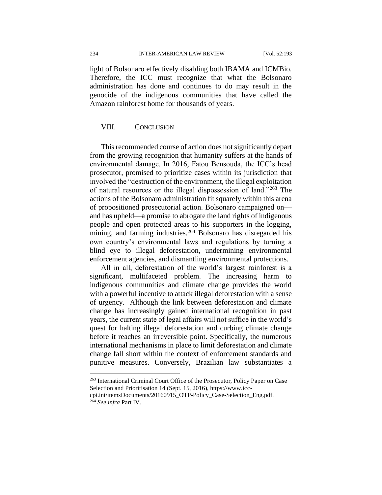234 INTER-AMERICAN LAW REVIEW [Vol. 52:193

light of Bolsonaro effectively disabling both IBAMA and ICMBio. Therefore, the ICC must recognize that what the Bolsonaro administration has done and continues to do may result in the genocide of the indigenous communities that have called the Amazon rainforest home for thousands of years.

# VIII. CONCLUSION

This recommended course of action does not significantly depart from the growing recognition that humanity suffers at the hands of environmental damage. In 2016, Fatou Bensouda, the ICC's head prosecutor, promised to prioritize cases within its jurisdiction that involved the "destruction of the environment, the illegal exploitation of natural resources or the illegal dispossession of land."<sup>263</sup> The actions of the Bolsonaro administration fit squarely within this arena of propositioned prosecutorial action. Bolsonaro campaigned on and has upheld—a promise to abrogate the land rights of indigenous people and open protected areas to his supporters in the logging, mining, and farming industries.<sup>264</sup> Bolsonaro has disregarded his own country's environmental laws and regulations by turning a blind eye to illegal deforestation, undermining environmental enforcement agencies, and dismantling environmental protections.

All in all, deforestation of the world's largest rainforest is a significant, multifaceted problem. The increasing harm to indigenous communities and climate change provides the world with a powerful incentive to attack illegal deforestation with a sense of urgency. Although the link between deforestation and climate change has increasingly gained international recognition in past years, the current state of legal affairs will not suffice in the world's quest for halting illegal deforestation and curbing climate change before it reaches an irreversible point. Specifically, the numerous international mechanisms in place to limit deforestation and climate change fall short within the context of enforcement standards and punitive measures. Conversely, Brazilian law substantiates a

<sup>263</sup> International Criminal Court Office of the Prosecutor, Policy Paper on Case Selection and Prioritisation 14 (Sept. 15, 2016), https://www.icc-

cpi.int/itemsDocuments/20160915\_OTP-Policy\_Case-Selection\_Eng.pdf. <sup>264</sup> *See infra* Part IV.